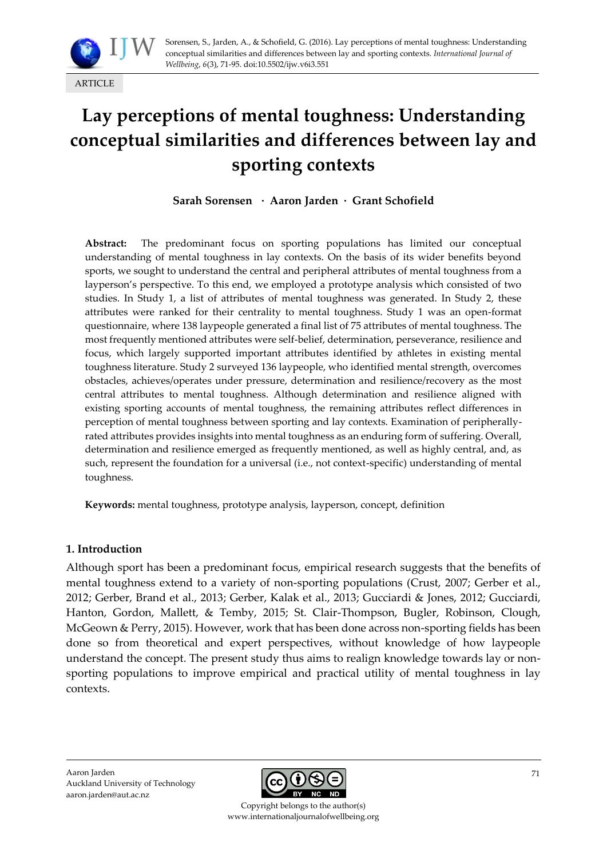

# **Lay perceptions of mental toughness: Understanding conceptual similarities and differences between lay and sporting contexts**

**Sarah Sorensen · Aaron Jarden · Grant Schofield**

**Abstract:** The predominant focus on sporting populations has limited our conceptual understanding of mental toughness in lay contexts. On the basis of its wider benefits beyond sports, we sought to understand the central and peripheral attributes of mental toughness from a layperson's perspective. To this end, we employed a prototype analysis which consisted of two studies. In Study 1, a list of attributes of mental toughness was generated. In Study 2, these attributes were ranked for their centrality to mental toughness. Study 1 was an open-format questionnaire, where 138 laypeople generated a final list of 75 attributes of mental toughness. The most frequently mentioned attributes were self-belief, determination, perseverance, resilience and focus, which largely supported important attributes identified by athletes in existing mental toughness literature. Study 2 surveyed 136 laypeople, who identified mental strength, overcomes obstacles, achieves/operates under pressure, determination and resilience/recovery as the most central attributes to mental toughness. Although determination and resilience aligned with existing sporting accounts of mental toughness, the remaining attributes reflect differences in perception of mental toughness between sporting and lay contexts. Examination of peripherallyrated attributes provides insights into mental toughness as an enduring form of suffering. Overall, determination and resilience emerged as frequently mentioned, as well as highly central, and, as such, represent the foundation for a universal (i.e., not context-specific) understanding of mental toughness.

**Keywords:** mental toughness, prototype analysis, layperson, concept, definition

#### **1. Introduction**

Although sport has been a predominant focus, empirical research suggests that the benefits of mental toughness extend to a variety of non-sporting populations (Crust, 2007; Gerber et al., 2012; Gerber, Brand et al., 2013; Gerber, Kalak et al., 2013; Gucciardi & Jones, 2012; Gucciardi, Hanton, Gordon, Mallett, & Temby, 2015; St. Clair-Thompson, Bugler, Robinson, Clough, McGeown & Perry, 2015). However, work that has been done across non-sporting fields has been done so from theoretical and expert perspectives, without knowledge of how laypeople understand the concept. The present study thus aims to realign knowledge towards lay or nonsporting populations to improve empirical and practical utility of mental toughness in lay contexts.



Copyright belongs to the author(s) www.internationaljournalofwellbeing.org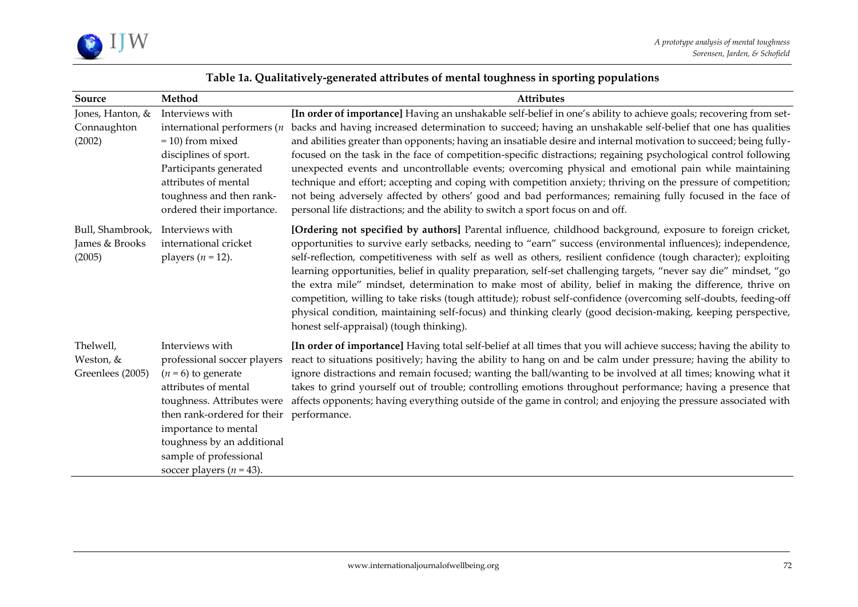

#### **Table 1a. Qualitatively-generated attributes of mental toughness in sporting populations**

| Source                                       | Method                                                                                                                                                                                                                                                                       | <b>Attributes</b>                                                                                                                                                                                                                                                                                                                                                                                                                                                                                                                                                                                                                                                                                                                                                                                                                                                 |
|----------------------------------------------|------------------------------------------------------------------------------------------------------------------------------------------------------------------------------------------------------------------------------------------------------------------------------|-------------------------------------------------------------------------------------------------------------------------------------------------------------------------------------------------------------------------------------------------------------------------------------------------------------------------------------------------------------------------------------------------------------------------------------------------------------------------------------------------------------------------------------------------------------------------------------------------------------------------------------------------------------------------------------------------------------------------------------------------------------------------------------------------------------------------------------------------------------------|
| Jones, Hanton, &                             | Interviews with                                                                                                                                                                                                                                                              | [In order of importance] Having an unshakable self-belief in one's ability to achieve goals; recovering from set-                                                                                                                                                                                                                                                                                                                                                                                                                                                                                                                                                                                                                                                                                                                                                 |
| Connaughton<br>(2002)                        | international performers $(n)$<br>$=$ 10) from mixed<br>disciplines of sport.<br>Participants generated<br>attributes of mental<br>toughness and then rank-<br>ordered their importance.                                                                                     | backs and having increased determination to succeed; having an unshakable self-belief that one has qualities<br>and abilities greater than opponents; having an insatiable desire and internal motivation to succeed; being fully-<br>focused on the task in the face of competition-specific distractions; regaining psychological control following<br>unexpected events and uncontrollable events; overcoming physical and emotional pain while maintaining<br>technique and effort; accepting and coping with competition anxiety; thriving on the pressure of competition;<br>not being adversely affected by others' good and bad performances; remaining fully focused in the face of<br>personal life distractions; and the ability to switch a sport focus on and off.                                                                                   |
| Bull, Shambrook,<br>James & Brooks<br>(2005) | Interviews with<br>international cricket<br>players ( $n = 12$ ).                                                                                                                                                                                                            | [Ordering not specified by authors] Parental influence, childhood background, exposure to foreign cricket,<br>opportunities to survive early setbacks, needing to "earn" success (environmental influences); independence,<br>self-reflection, competitiveness with self as well as others, resilient confidence (tough character); exploiting<br>learning opportunities, belief in quality preparation, self-set challenging targets, "never say die" mindset, "go<br>the extra mile" mindset, determination to make most of ability, belief in making the difference, thrive on<br>competition, willing to take risks (tough attitude); robust self-confidence (overcoming self-doubts, feeding-off<br>physical condition, maintaining self-focus) and thinking clearly (good decision-making, keeping perspective,<br>honest self-appraisal) (tough thinking). |
| Thelwell,<br>Weston, &<br>Greenlees (2005)   | Interviews with<br>professional soccer players<br>$(n = 6)$ to generate<br>attributes of mental<br>toughness. Attributes were<br>then rank-ordered for their<br>importance to mental<br>toughness by an additional<br>sample of professional<br>soccer players ( $n = 43$ ). | [In order of importance] Having total self-belief at all times that you will achieve success; having the ability to<br>react to situations positively; having the ability to hang on and be calm under pressure; having the ability to<br>ignore distractions and remain focused; wanting the ball/wanting to be involved at all times; knowing what it<br>takes to grind yourself out of trouble; controlling emotions throughout performance; having a presence that<br>affects opponents; having everything outside of the game in control; and enjoying the pressure associated with<br>performance.                                                                                                                                                                                                                                                          |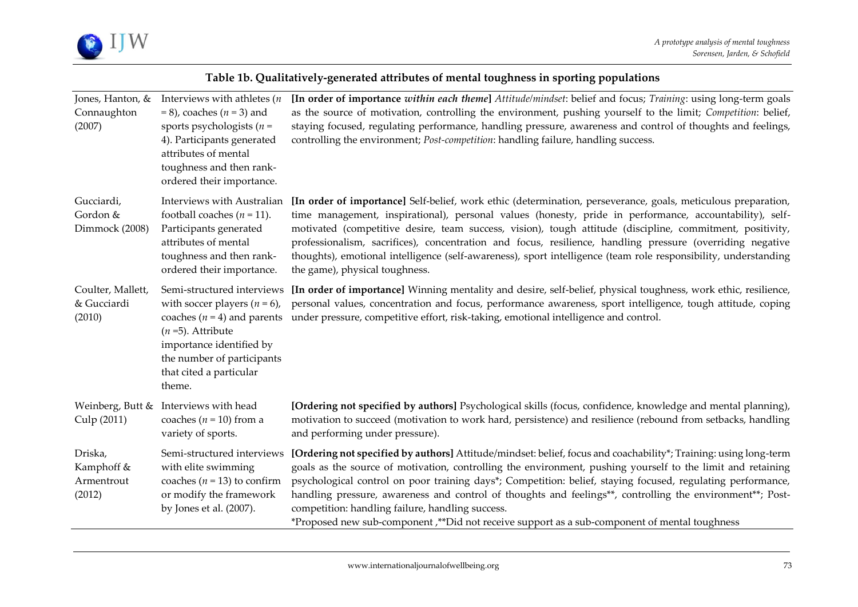



| Jones, Hanton, &<br>Connaughton<br>(2007)     | Interviews with athletes $(n)$<br>$= 8$ ), coaches ( $n = 3$ ) and<br>sports psychologists ( $n =$<br>4). Participants generated<br>attributes of mental<br>toughness and then rank-<br>ordered their importance.      | [In order of importance within each theme] Attitude/mindset: belief and focus; Training: using long-term goals<br>as the source of motivation, controlling the environment, pushing yourself to the limit; Competition: belief,<br>staying focused, regulating performance, handling pressure, awareness and control of thoughts and feelings,<br>controlling the environment; Post-competition: handling failure, handling success.                                                                                                                                                                    |
|-----------------------------------------------|------------------------------------------------------------------------------------------------------------------------------------------------------------------------------------------------------------------------|---------------------------------------------------------------------------------------------------------------------------------------------------------------------------------------------------------------------------------------------------------------------------------------------------------------------------------------------------------------------------------------------------------------------------------------------------------------------------------------------------------------------------------------------------------------------------------------------------------|
| Gucciardi,<br>Gordon &<br>Dimmock (2008)      | Interviews with Australian<br>football coaches ( $n = 11$ ).<br>Participants generated<br>attributes of mental<br>toughness and then rank-<br>ordered their importance.                                                | [In order of importance] Self-belief, work ethic (determination, perseverance, goals, meticulous preparation,<br>time management, inspirational), personal values (honesty, pride in performance, accountability), self-<br>motivated (competitive desire, team success, vision), tough attitude (discipline, commitment, positivity,<br>professionalism, sacrifices), concentration and focus, resilience, handling pressure (overriding negative<br>thoughts), emotional intelligence (self-awareness), sport intelligence (team role responsibility, understanding<br>the game), physical toughness. |
| Coulter, Mallett,<br>& Gucciardi<br>(2010)    | Semi-structured interviews<br>with soccer players $(n = 6)$ ,<br>coaches ( $n = 4$ ) and parents<br>$(n=5)$ . Attribute<br>importance identified by<br>the number of participants<br>that cited a particular<br>theme. | [In order of importance] Winning mentality and desire, self-belief, physical toughness, work ethic, resilience,<br>personal values, concentration and focus, performance awareness, sport intelligence, tough attitude, coping<br>under pressure, competitive effort, risk-taking, emotional intelligence and control.                                                                                                                                                                                                                                                                                  |
| Culp (2011)                                   | Weinberg, Butt & Interviews with head<br>coaches ( $n = 10$ ) from a<br>variety of sports.                                                                                                                             | [Ordering not specified by authors] Psychological skills (focus, confidence, knowledge and mental planning),<br>motivation to succeed (motivation to work hard, persistence) and resilience (rebound from setbacks, handling<br>and performing under pressure).                                                                                                                                                                                                                                                                                                                                         |
| Driska,<br>Kamphoff &<br>Armentrout<br>(2012) | Semi-structured interviews<br>with elite swimming<br>coaches ( $n = 13$ ) to confirm<br>or modify the framework<br>by Jones et al. (2007).                                                                             | [Ordering not specified by authors] Attitude/mindset: belief, focus and coachability*; Training: using long-term<br>goals as the source of motivation, controlling the environment, pushing yourself to the limit and retaining<br>psychological control on poor training days*; Competition: belief, staying focused, regulating performance,<br>handling pressure, awareness and control of thoughts and feelings**, controlling the environment**; Post-<br>competition: handling failure, handling success.                                                                                         |

#### **Table 1b. Qualitatively-generated attributes of mental toughness in sporting populations**

\*Proposed new sub-component ,\*\*Did not receive support as a sub-component of mental toughness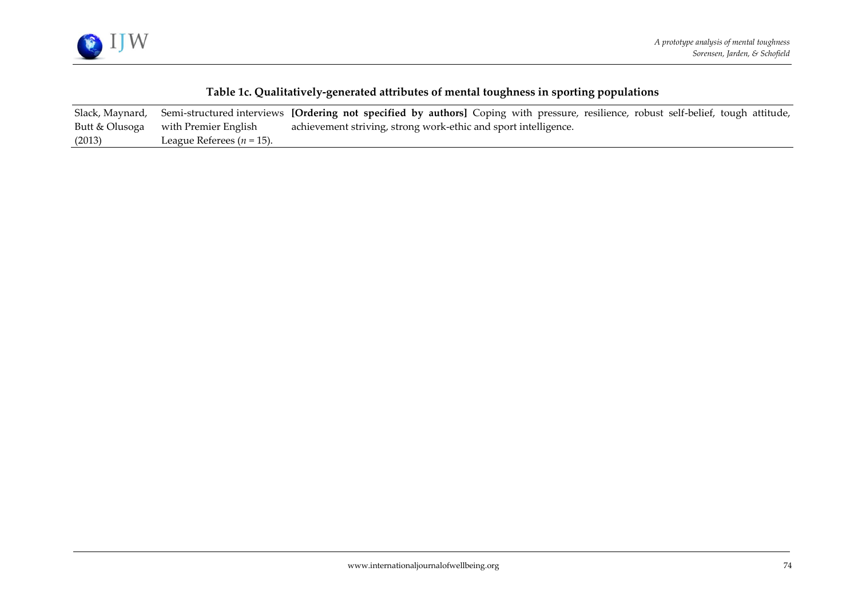

### **Table 1c. Qualitatively-generated attributes of mental toughness in sporting populations**

|        |                                     | Slack, Maynard, Semi-structured interviews [Ordering not specified by authors] Coping with pressure, resilience, robust self-belief, tough attitude, |  |
|--------|-------------------------------------|------------------------------------------------------------------------------------------------------------------------------------------------------|--|
|        | Butt & Olusoga with Premier English | achievement striving, strong work-ethic and sport intelligence.                                                                                      |  |
| (2013) | League Referees ( $n = 15$ ).       |                                                                                                                                                      |  |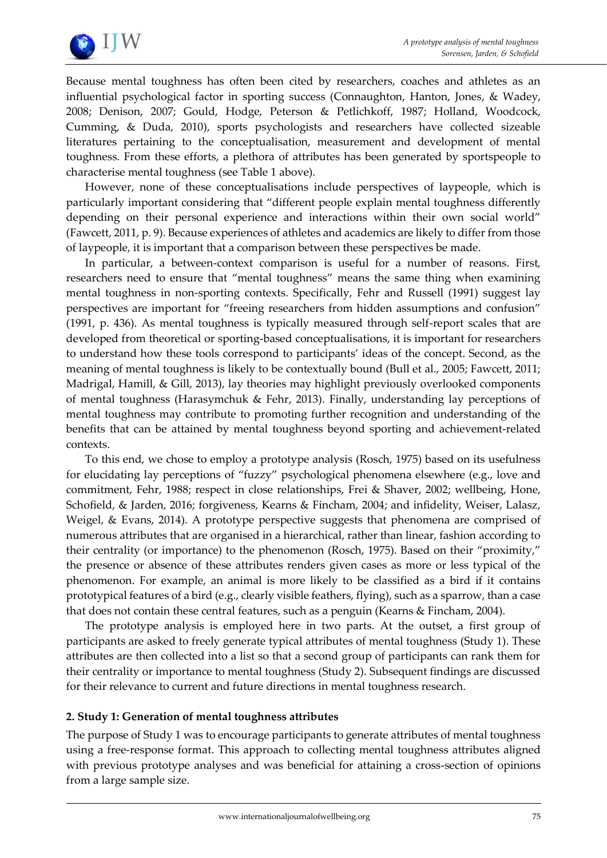

Because mental toughness has often been cited by researchers, coaches and athletes as an influential psychological factor in sporting success (Connaughton, Hanton, Jones, & Wadey, 2008; Denison, 2007; Gould, Hodge, Peterson & Petlichkoff, 1987; Holland, Woodcock, Cumming, & Duda, 2010), sports psychologists and researchers have collected sizeable literatures pertaining to the conceptualisation, measurement and development of mental toughness. From these efforts, a plethora of attributes has been generated by sportspeople to characterise mental toughness (see Table 1 above).

However, none of these conceptualisations include perspectives of laypeople, which is particularly important considering that "different people explain mental toughness differently depending on their personal experience and interactions within their own social world" (Fawcett, 2011, p. 9). Because experiences of athletes and academics are likely to differ from those of laypeople, it is important that a comparison between these perspectives be made.

In particular, a between-context comparison is useful for a number of reasons. First, researchers need to ensure that "mental toughness" means the same thing when examining mental toughness in non-sporting contexts. Specifically, Fehr and Russell (1991) suggest lay perspectives are important for "freeing researchers from hidden assumptions and confusion" (1991, p. 436). As mental toughness is typically measured through self-report scales that are developed from theoretical or sporting-based conceptualisations, it is important for researchers to understand how these tools correspond to participants' ideas of the concept. Second, as the meaning of mental toughness is likely to be contextually bound (Bull et al., 2005; Fawcett, 2011; Madrigal, Hamill, & Gill, 2013), lay theories may highlight previously overlooked components of mental toughness (Harasymchuk & Fehr, 2013). Finally, understanding lay perceptions of mental toughness may contribute to promoting further recognition and understanding of the benefits that can be attained by mental toughness beyond sporting and achievement-related contexts.

To this end, we chose to employ a prototype analysis (Rosch, 1975) based on its usefulness for elucidating lay perceptions of "fuzzy" psychological phenomena elsewhere (e.g., love and commitment, Fehr, 1988; respect in close relationships, Frei & Shaver, 2002; wellbeing, Hone, Schofield, & Jarden, 2016; forgiveness, Kearns & Fincham, 2004; and infidelity, Weiser, Lalasz, Weigel, & Evans, 2014). A prototype perspective suggests that phenomena are comprised of numerous attributes that are organised in a hierarchical, rather than linear, fashion according to their centrality (or importance) to the phenomenon (Rosch, 1975). Based on their "proximity," the presence or absence of these attributes renders given cases as more or less typical of the phenomenon. For example, an animal is more likely to be classified as a bird if it contains prototypical features of a bird (e.g., clearly visible feathers, flying), such as a sparrow, than a case that does not contain these central features, such as a penguin (Kearns & Fincham, 2004).

The prototype analysis is employed here in two parts. At the outset, a first group of participants are asked to freely generate typical attributes of mental toughness (Study 1). These attributes are then collected into a list so that a second group of participants can rank them for their centrality or importance to mental toughness (Study 2). Subsequent findings are discussed for their relevance to current and future directions in mental toughness research.

#### **2. Study 1: Generation of mental toughness attributes**

The purpose of Study 1 was to encourage participants to generate attributes of mental toughness using a free-response format. This approach to collecting mental toughness attributes aligned with previous prototype analyses and was beneficial for attaining a cross-section of opinions from a large sample size.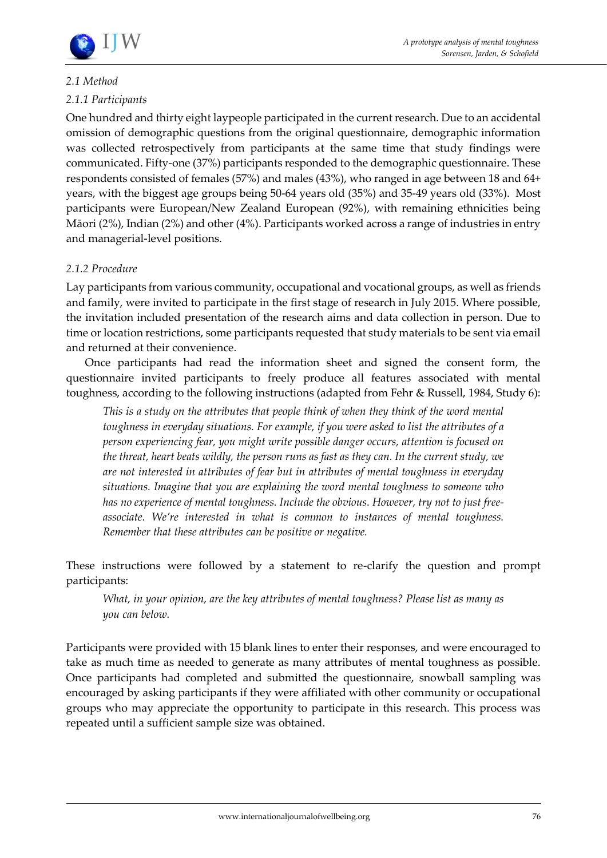

#### *2.1 Method*

#### *2.1.1 Participants*

One hundred and thirty eight laypeople participated in the current research. Due to an accidental omission of demographic questions from the original questionnaire, demographic information was collected retrospectively from participants at the same time that study findings were communicated. Fifty-one (37%) participants responded to the demographic questionnaire. These respondents consisted of females (57%) and males (43%), who ranged in age between 18 and 64+ years, with the biggest age groups being 50-64 years old (35%) and 35-49 years old (33%). Most participants were European/New Zealand European (92%), with remaining ethnicities being Māori (2%), Indian (2%) and other (4%). Participants worked across a range of industries in entry and managerial-level positions.

#### *2.1.2 Procedure*

Lay participants from various community, occupational and vocational groups, as well as friends and family, were invited to participate in the first stage of research in July 2015. Where possible, the invitation included presentation of the research aims and data collection in person. Due to time or location restrictions, some participants requested that study materials to be sent via email and returned at their convenience.

Once participants had read the information sheet and signed the consent form, the questionnaire invited participants to freely produce all features associated with mental toughness, according to the following instructions (adapted from Fehr & Russell, 1984, Study 6):

*This is a study on the attributes that people think of when they think of the word mental toughness in everyday situations. For example, if you were asked to list the attributes of a person experiencing fear, you might write possible danger occurs, attention is focused on the threat, heart beats wildly, the person runs as fast as they can. In the current study, we are not interested in attributes of fear but in attributes of mental toughness in everyday situations. Imagine that you are explaining the word mental toughness to someone who has no experience of mental toughness. Include the obvious. However, try not to just freeassociate. We're interested in what is common to instances of mental toughness. Remember that these attributes can be positive or negative.* 

These instructions were followed by a statement to re-clarify the question and prompt participants:

*What, in your opinion, are the key attributes of mental toughness? Please list as many as you can below.*

Participants were provided with 15 blank lines to enter their responses, and were encouraged to take as much time as needed to generate as many attributes of mental toughness as possible. Once participants had completed and submitted the questionnaire, snowball sampling was encouraged by asking participants if they were affiliated with other community or occupational groups who may appreciate the opportunity to participate in this research. This process was repeated until a sufficient sample size was obtained.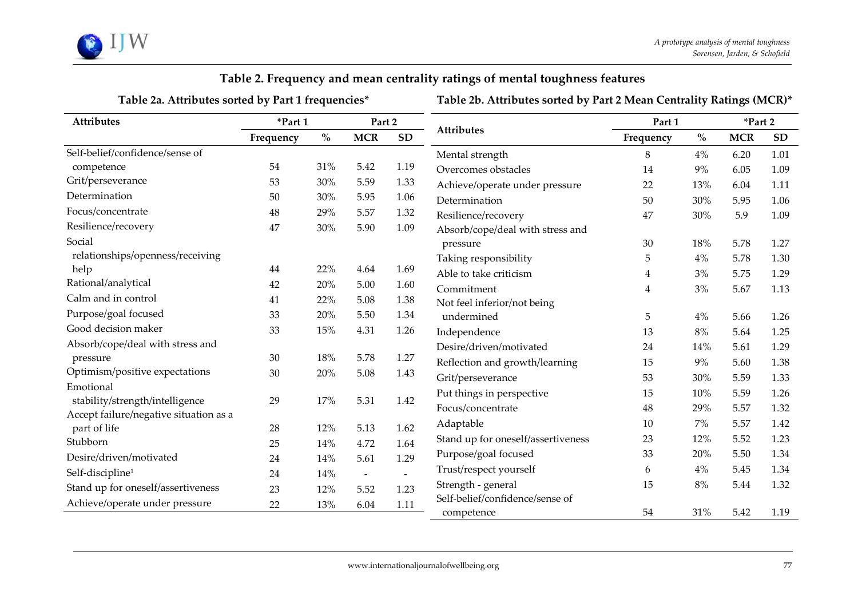

## **Table 2. Frequency and mean centrality ratings of mental toughness features**

#### **Table 2a. Attributes sorted by Part 1 frequencies\***

**Table 2b. Attributes sorted by Part 2 Mean Centrality Ratings (MCR)\***

| <b>Attributes</b>                      | *Part 1   |                                    | Part 2                   |           |                                    | Part 1    |                                    | *Part 2    |           |
|----------------------------------------|-----------|------------------------------------|--------------------------|-----------|------------------------------------|-----------|------------------------------------|------------|-----------|
|                                        | Frequency | $\mathbf{0}_{\mathbf{0}}^{\prime}$ | <b>MCR</b>               | <b>SD</b> | <b>Attributes</b>                  | Frequency | $\mathbf{0}_{\mathbf{0}}^{\prime}$ | <b>MCR</b> | <b>SD</b> |
| Self-belief/confidence/sense of        |           |                                    |                          |           | Mental strength                    | 8         | 4%                                 | 6.20       | 1.01      |
| competence                             | 54        | 31%                                | 5.42                     | 1.19      | Overcomes obstacles                | 14        | 9%                                 | 6.05       | 1.09      |
| Grit/perseverance                      | 53        | 30%                                | 5.59                     | 1.33      | Achieve/operate under pressure     | 22        | 13%                                | 6.04       | 1.11      |
| Determination                          | 50        | 30%                                | 5.95                     | 1.06      | Determination                      | 50        | 30%                                | 5.95       | 1.06      |
| Focus/concentrate                      | 48        | 29%                                | 5.57                     | 1.32      | Resilience/recovery                | 47        | 30%                                | 5.9        | 1.09      |
| Resilience/recovery                    | 47        | 30%                                | 5.90                     | 1.09      | Absorb/cope/deal with stress and   |           |                                    |            |           |
| Social                                 |           |                                    |                          |           | pressure                           | 30        | $18\%$                             | 5.78       | 1.27      |
| relationships/openness/receiving       |           |                                    |                          |           | Taking responsibility              | 5         | 4%                                 | 5.78       | 1.30      |
| help                                   | 44        | 22%                                | 4.64                     | 1.69      | Able to take criticism             | 4         | 3%                                 | 5.75       | 1.29      |
| Rational/analytical                    | 42        | 20%                                | 5.00                     | 1.60      | Commitment                         | 4         | 3%                                 | 5.67       | 1.13      |
| Calm and in control                    | 41        | 22%                                | 5.08                     | 1.38      | Not feel inferior/not being        |           |                                    |            |           |
| Purpose/goal focused                   | 33        | 20%                                | 5.50                     | 1.34      | undermined                         | 5         | 4%                                 | 5.66       | 1.26      |
| Good decision maker                    | 33        | 15%                                | 4.31                     | 1.26      | Independence                       | 13        | 8%                                 | 5.64       | 1.25      |
| Absorb/cope/deal with stress and       |           |                                    |                          |           | Desire/driven/motivated            | 24        | 14%                                | 5.61       | 1.29      |
| pressure                               | 30        | 18%                                | 5.78                     | 1.27      | Reflection and growth/learning     | 15        | 9%                                 | 5.60       | 1.38      |
| Optimism/positive expectations         | 30        | 20%                                | 5.08                     | 1.43      | Grit/perseverance                  | 53        | 30%                                | 5.59       | 1.33      |
| Emotional                              |           |                                    |                          |           | Put things in perspective          | 15        | 10%                                | 5.59       | 1.26      |
| stability/strength/intelligence        | 29        | 17%                                | 5.31                     | 1.42      | Focus/concentrate                  | 48        | 29%                                | 5.57       | 1.32      |
| Accept failure/negative situation as a |           |                                    |                          |           | Adaptable                          | 10        | 7%                                 | 5.57       | 1.42      |
| part of life                           | 28        | 12%                                | 5.13                     | 1.62      |                                    | 23        | 12%                                | 5.52       | 1.23      |
| Stubborn                               | 25        | 14%                                | 4.72                     | 1.64      | Stand up for oneself/assertiveness |           |                                    |            |           |
| Desire/driven/motivated                | 24        | 14%                                | 5.61                     | 1.29      | Purpose/goal focused               | 33        | 20%                                | 5.50       | 1.34      |
| Self-discipline <sup>1</sup>           | 24        | 14%                                | $\overline{\phantom{a}}$ |           | Trust/respect yourself             | 6         | $4\%$                              | 5.45       | 1.34      |
| Stand up for oneself/assertiveness     | 23        | 12%                                | 5.52                     | 1.23      | Strength - general                 | 15        | 8%                                 | 5.44       | 1.32      |
| Achieve/operate under pressure         | 22        | 13%                                | 6.04                     | 1.11      | Self-belief/confidence/sense of    |           |                                    |            |           |
|                                        |           |                                    |                          |           | competence                         | 54        | 31%                                | 5.42       | 1.19      |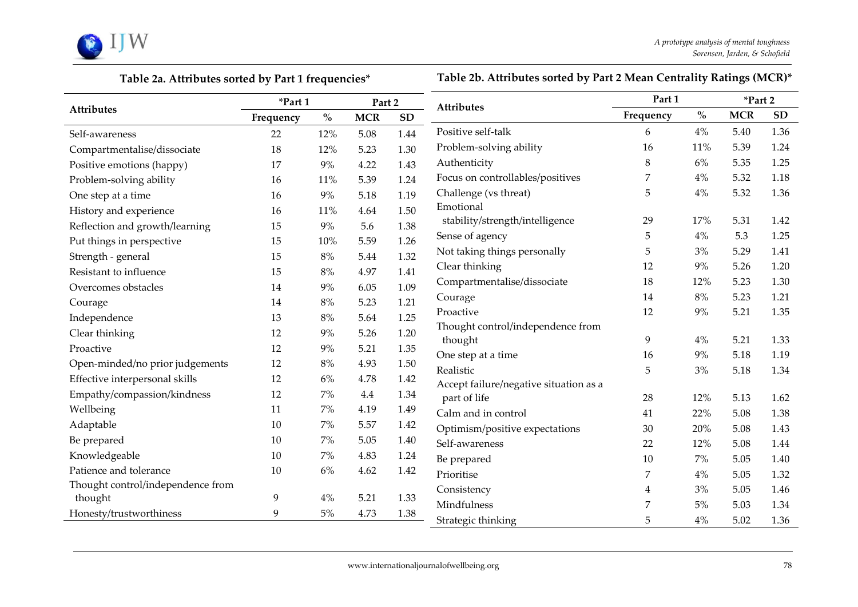

**Table 2a. Attributes sorted by Part 1 frequencies\***

**Table 2b. Attributes sorted by Part 2 Mean Centrality Ratings (MCR)\***

|                                   | *Part 1          |                                    | Part 2     |      | <b>Attributes</b>                                      | Part 1    |                                    | *Part 2    |           |
|-----------------------------------|------------------|------------------------------------|------------|------|--------------------------------------------------------|-----------|------------------------------------|------------|-----------|
| <b>Attributes</b>                 | Frequency        | $\mathbf{0}_{\mathbf{0}}^{\prime}$ | <b>MCR</b> | SD   |                                                        | Frequency | $\mathbf{0}_{\mathbf{0}}^{\prime}$ | <b>MCR</b> | <b>SD</b> |
| Self-awareness                    | 22               | 12%                                | 5.08       | 1.44 | Positive self-talk                                     | 6         | 4%                                 | 5.40       | 1.36      |
| Compartmentalise/dissociate       | 18               | 12%                                | 5.23       | 1.30 | Problem-solving ability                                | 16        | 11%                                | 5.39       | 1.24      |
| Positive emotions (happy)         | 17               | 9%                                 | 4.22       | 1.43 | Authenticity                                           | 8         | $6\%$                              | 5.35       | 1.25      |
| Problem-solving ability           | 16               | 11%                                | 5.39       | 1.24 | Focus on controllables/positives                       | 7         | 4%                                 | 5.32       | 1.18      |
| One step at a time                | 16               | $9\%$                              | 5.18       | 1.19 | Challenge (vs threat)                                  | 5         | $4\%$                              | 5.32       | 1.36      |
| History and experience            | 16               | 11%                                | 4.64       | 1.50 | Emotional                                              |           |                                    |            |           |
| Reflection and growth/learning    | 15               | 9%                                 | 5.6        | 1.38 | stability/strength/intelligence                        | 29        | 17%                                | 5.31       | 1.42      |
| Put things in perspective         | 15               | $10\%$                             | 5.59       | 1.26 | Sense of agency                                        | 5         | $4\%$                              | 5.3        | 1.25      |
| Strength - general                | 15               | $8\%$                              | 5.44       | 1.32 | Not taking things personally                           | 5         | 3%                                 | 5.29       | 1.41      |
| Resistant to influence            | 15               | $8\%$                              | 4.97       | 1.41 | Clear thinking                                         | 12        | $9\%$                              | 5.26       | 1.20      |
| Overcomes obstacles               | 14               | 9%                                 | 6.05       | 1.09 | Compartmentalise/dissociate                            | 18        | 12%                                | 5.23       | 1.30      |
| Courage                           | 14               | $8\%$                              | 5.23       | 1.21 | Courage                                                | 14        | $8\%$                              | 5.23       | 1.21      |
| Independence                      | 13               | $8\%$                              | 5.64       | 1.25 | Proactive                                              | 12        | $9\%$                              | 5.21       | 1.35      |
| Clear thinking                    | 12               | 9%                                 | 5.26       | 1.20 | Thought control/independence from                      |           |                                    |            |           |
| Proactive                         | 12               | 9%                                 | 5.21       | 1.35 | thought                                                | 9         | 4%                                 | 5.21       | 1.33      |
| Open-minded/no prior judgements   | 12               | 8%                                 | 4.93       | 1.50 | One step at a time                                     | 16        | $9\%$                              | 5.18       | 1.19      |
| Effective interpersonal skills    | 12               | 6%                                 | 4.78       | 1.42 | Realistic                                              | 5         | $3%$                               | 5.18       | 1.34      |
| Empathy/compassion/kindness       | 12               | $7\%$                              | 4.4        | 1.34 | Accept failure/negative situation as a<br>part of life | 28        | 12%                                | 5.13       | 1.62      |
| Wellbeing                         | 11               | 7%                                 | 4.19       | 1.49 | Calm and in control                                    | 41        | 22%                                | 5.08       | 1.38      |
| Adaptable                         | 10               | $7\%$                              | 5.57       | 1.42 | Optimism/positive expectations                         | 30        | 20%                                | 5.08       | 1.43      |
| Be prepared                       | 10               | 7%                                 | 5.05       | 1.40 | Self-awareness                                         | 22        | 12%                                | 5.08       | 1.44      |
| Knowledgeable                     | 10               | $7\%$                              | 4.83       | 1.24 |                                                        | 10        | 7%                                 |            | 1.40      |
| Patience and tolerance            | 10               | $6\%$                              | 4.62       | 1.42 | Be prepared                                            |           |                                    | 5.05       |           |
| Thought control/independence from |                  |                                    |            |      | Prioritise                                             | 7         | 4%                                 | 5.05       | 1.32      |
| thought                           | $\boldsymbol{9}$ | $4\%$                              | 5.21       | 1.33 | Consistency                                            | 4         | 3%                                 | 5.05       | 1.46      |
| Honesty/trustworthiness           | 9                | $5\%$                              | 4.73       | 1.38 | Mindfulness                                            | 7         | $5\%$                              | 5.03       | 1.34      |
|                                   |                  |                                    |            |      | Strategic thinking                                     | 5         | $4\%$                              | 5.02       | 1.36      |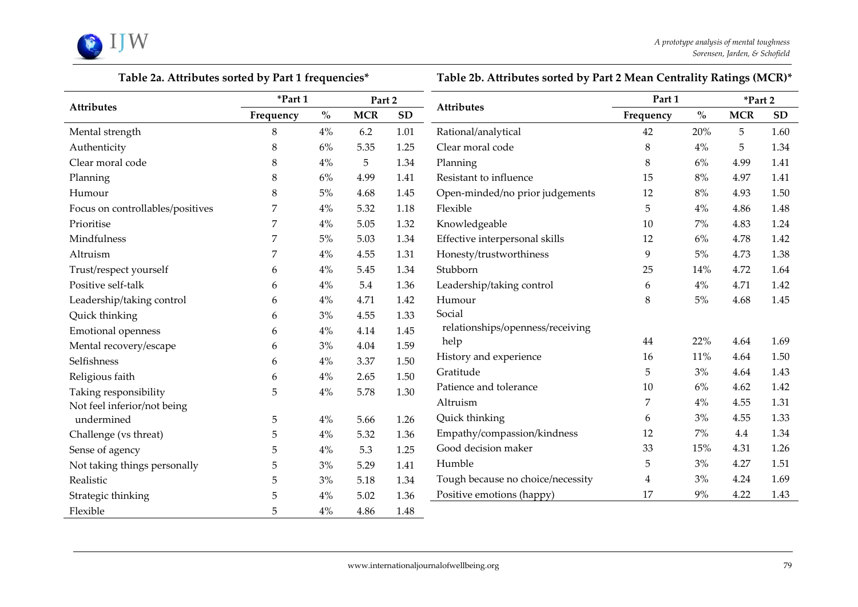

**Table 2a. Attributes sorted by Part 1 frequencies\***

#### **Table 2b. Attributes sorted by Part 2 Mean Centrality Ratings (MCR)\***

| <b>Attributes</b>                | *Part 1<br>Part 2 |                                    |            | <b>Attributes</b> | Part 1                            |                         | *Part 2                            |            |           |
|----------------------------------|-------------------|------------------------------------|------------|-------------------|-----------------------------------|-------------------------|------------------------------------|------------|-----------|
|                                  | Frequency         | $\mathbf{0}_{\mathbf{0}}^{\prime}$ | <b>MCR</b> | <b>SD</b>         |                                   | Frequency               | $\mathbf{0}_{\mathbf{0}}^{\prime}$ | <b>MCR</b> | <b>SD</b> |
| Mental strength                  | 8                 | $4\%$                              | 6.2        | 1.01              | Rational/analytical               | 42                      | 20%                                | 5          | 1.60      |
| Authenticity                     | $\,8\,$           | $6\%$                              | 5.35       | 1.25              | Clear moral code                  | $\,8\,$                 | $4\%$                              | 5          | 1.34      |
| Clear moral code                 | $\,8\,$           | $4\%$                              | 5          | 1.34              | Planning                          | $\,8\,$                 | 6%                                 | 4.99       | 1.41      |
| Planning                         | $\,8\,$           | $6\%$                              | 4.99       | 1.41              | Resistant to influence            | 15                      | $8\%$                              | 4.97       | 1.41      |
| Humour                           | $\,8\,$           | $5\%$                              | 4.68       | 1.45              | Open-minded/no prior judgements   | 12                      | $8\%$                              | 4.93       | 1.50      |
| Focus on controllables/positives | 7                 | $4\%$                              | 5.32       | 1.18              | Flexible                          | 5                       | 4%                                 | 4.86       | 1.48      |
| Prioritise                       | 7                 | $4\%$                              | 5.05       | 1.32              | Knowledgeable                     | 10                      | $7\%$                              | 4.83       | 1.24      |
| Mindfulness                      | $\overline{7}$    | $5\%$                              | 5.03       | 1.34              | Effective interpersonal skills    | 12                      | 6%                                 | 4.78       | 1.42      |
| Altruism                         | 7                 | $4\%$                              | 4.55       | 1.31              | Honesty/trustworthiness           | 9                       | $5\%$                              | 4.73       | 1.38      |
| Trust/respect yourself           | 6                 | $4\%$                              | 5.45       | 1.34              | Stubborn                          | 25                      | 14%                                | 4.72       | 1.64      |
| Positive self-talk               | 6                 | $4\%$                              | 5.4        | 1.36              | Leadership/taking control         | 6                       | 4%                                 | 4.71       | 1.42      |
| Leadership/taking control        | 6                 | $4\%$                              | 4.71       | 1.42              | Humour                            | 8                       | $5\%$                              | 4.68       | 1.45      |
| Quick thinking                   | 6                 | 3%                                 | 4.55       | 1.33              | Social                            |                         |                                    |            |           |
| <b>Emotional openness</b>        | 6                 | $4\%$                              | 4.14       | 1.45              | relationships/openness/receiving  |                         |                                    |            |           |
| Mental recovery/escape           | 6                 | 3%                                 | 4.04       | 1.59              | help                              | 44                      | 22%                                | 4.64       | 1.69      |
| Selfishness                      | 6                 | 4%                                 | 3.37       | 1.50              | History and experience            | 16                      | 11%                                | 4.64       | 1.50      |
| Religious faith                  | 6                 | $4\%$                              | 2.65       | 1.50              | Gratitude                         | 5                       | 3%                                 | 4.64       | 1.43      |
| Taking responsibility            | 5                 | $4\%$                              | 5.78       | 1.30              | Patience and tolerance            | 10                      | 6%                                 | 4.62       | 1.42      |
| Not feel inferior/not being      |                   |                                    |            |                   | Altruism                          | 7                       | 4%                                 | 4.55       | 1.31      |
| undermined                       | 5                 | $4\%$                              | 5.66       | 1.26              | Quick thinking                    | 6                       | 3%                                 | 4.55       | 1.33      |
| Challenge (vs threat)            | 5                 | $4\%$                              | 5.32       | 1.36              | Empathy/compassion/kindness       | 12                      | $7\%$                              | 4.4        | 1.34      |
| Sense of agency                  | 5                 | $4\%$                              | 5.3        | 1.25              | Good decision maker               | 33                      | 15%                                | 4.31       | 1.26      |
| Not taking things personally     | 5                 | 3%                                 | 5.29       | 1.41              | Humble                            | 5                       | 3%                                 | 4.27       | 1.51      |
| Realistic                        | 5                 | 3%                                 | 5.18       | 1.34              | Tough because no choice/necessity | $\overline{\mathbf{4}}$ | 3%                                 | 4.24       | 1.69      |
| Strategic thinking               | 5                 | $4\%$                              | 5.02       | 1.36              | Positive emotions (happy)         | 17                      | 9%                                 | 4.22       | 1.43      |
| Flexible                         | 5                 | $4\%$                              | 4.86       | 1.48              |                                   |                         |                                    |            |           |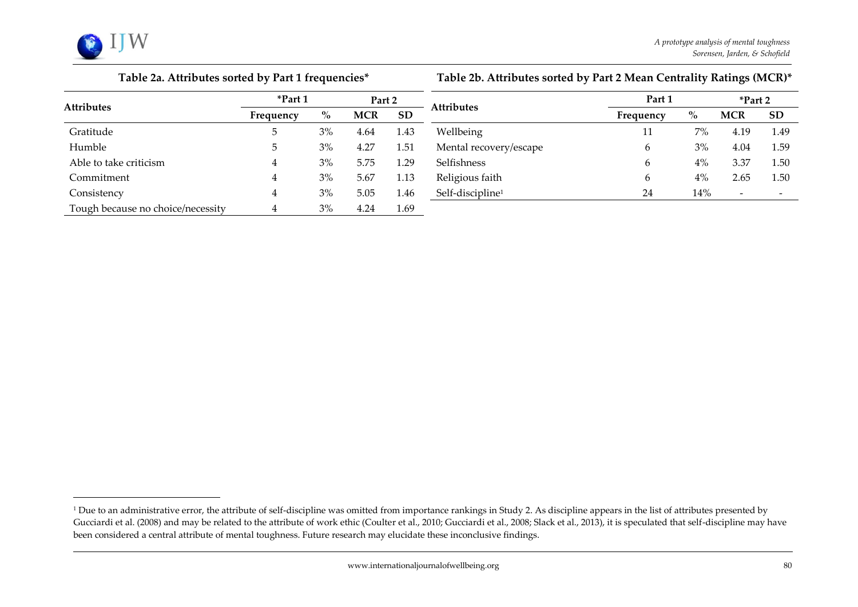

 $\overline{a}$ 

<span id="page-9-0"></span>

| Table 2a. Attributes sorted by Part 1 frequencies* |           |      |                         |      | Table 2b. Attributes sorted by Part 2 Mean Centrality Ratings (MCR)* |           |      |            |           |
|----------------------------------------------------|-----------|------|-------------------------|------|----------------------------------------------------------------------|-----------|------|------------|-----------|
| Attributes                                         | *Part 1   |      | Part 2                  |      | <b>Attributes</b>                                                    | Part 1    |      | *Part 2    |           |
|                                                    | Frequency | $\%$ | <b>SD</b><br><b>MCR</b> |      |                                                                      | Frequency | $\%$ | <b>MCR</b> | <b>SD</b> |
| Gratitude                                          |           | 3%   | 4.64                    | 1.43 | Wellbeing                                                            | 11        | 7%   | 4.19       | 1.49      |
| Humble                                             |           | 3%   | 4.27                    | 1.51 | Mental recovery/escape                                               | 6         | 3%   | 4.04       | 1.59      |
| Able to take criticism                             |           | 3%   | 5.75                    | 1.29 | Selfishness                                                          | 6         | 4%   | 3.37       | 1.50      |
| Commitment                                         |           | 3%   | 5.67                    | 1.13 | Religious faith                                                      | 6         | 4%   | 2.65       | 1.50      |
| Consistency                                        | 4         | 3%   | 5.05                    | 1.46 | Self-discipline <sup>1</sup>                                         | 24        | 14%  |            |           |
| Tough because no choice/necessity                  |           | 3%   | 4.24                    | 1.69 |                                                                      |           |      |            |           |

<sup>&</sup>lt;sup>1</sup> Due to an administrative error, the attribute of self-discipline was omitted from importance rankings in Study 2. As discipline appears in the list of attributes presented by Gucciardi et al. (2008) and may be related to the attribute of work ethic (Coulter et al., 2010; Gucciardi et al., 2008; Slack et al., 2013), it is speculated that self-discipline may have been considered a central attribute of mental toughness. Future research may elucidate these inconclusive findings.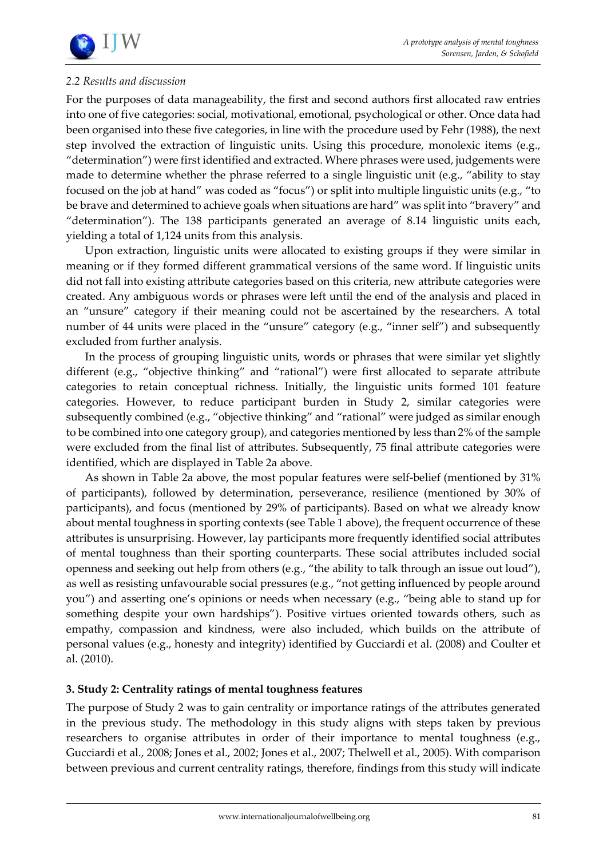

#### *2.2 Results and discussion*

For the purposes of data manageability, the first and second authors first allocated raw entries into one of five categories: social, motivational, emotional, psychological or other. Once data had been organised into these five categories, in line with the procedure used by Fehr (1988), the next step involved the extraction of linguistic units. Using this procedure, monolexic items (e.g., "determination") were first identified and extracted. Where phrases were used, judgements were made to determine whether the phrase referred to a single linguistic unit (e.g., "ability to stay focused on the job at hand" was coded as "focus") or split into multiple linguistic units (e.g., "to be brave and determined to achieve goals when situations are hard" was split into "bravery" and "determination"). The 138 participants generated an average of 8.14 linguistic units each, yielding a total of 1,124 units from this analysis.

Upon extraction, linguistic units were allocated to existing groups if they were similar in meaning or if they formed different grammatical versions of the same word. If linguistic units did not fall into existing attribute categories based on this criteria, new attribute categories were created. Any ambiguous words or phrases were left until the end of the analysis and placed in an "unsure" category if their meaning could not be ascertained by the researchers. A total number of 44 units were placed in the "unsure" category (e.g., "inner self") and subsequently excluded from further analysis.

In the process of grouping linguistic units, words or phrases that were similar yet slightly different (e.g., "objective thinking" and "rational") were first allocated to separate attribute categories to retain conceptual richness. Initially, the linguistic units formed 101 feature categories. However, to reduce participant burden in Study 2, similar categories were subsequently combined (e.g., "objective thinking" and "rational" were judged as similar enough to be combined into one category group), and categories mentioned by less than 2% of the sample were excluded from the final list of attributes. Subsequently, 75 final attribute categories were identified, which are displayed in Table 2a above.

As shown in Table 2a above, the most popular features were self-belief (mentioned by 31% of participants), followed by determination, perseverance, resilience (mentioned by 30% of participants), and focus (mentioned by 29% of participants). Based on what we already know about mental toughness in sporting contexts (see Table 1 above), the frequent occurrence of these attributes is unsurprising. However, lay participants more frequently identified social attributes of mental toughness than their sporting counterparts. These social attributes included social openness and seeking out help from others (e.g., "the ability to talk through an issue out loud"), as well as resisting unfavourable social pressures (e.g., "not getting influenced by people around you") and asserting one's opinions or needs when necessary (e.g., "being able to stand up for something despite your own hardships"). Positive virtues oriented towards others, such as empathy, compassion and kindness, were also included, which builds on the attribute of personal values (e.g., honesty and integrity) identified by Gucciardi et al. (2008) and Coulter et al. (2010).

#### **3. Study 2: Centrality ratings of mental toughness features**

The purpose of Study 2 was to gain centrality or importance ratings of the attributes generated in the previous study. The methodology in this study aligns with steps taken by previous researchers to organise attributes in order of their importance to mental toughness (e.g., Gucciardi et al., 2008; Jones et al., 2002; Jones et al., 2007; Thelwell et al., 2005). With comparison between previous and current centrality ratings, therefore, findings from this study will indicate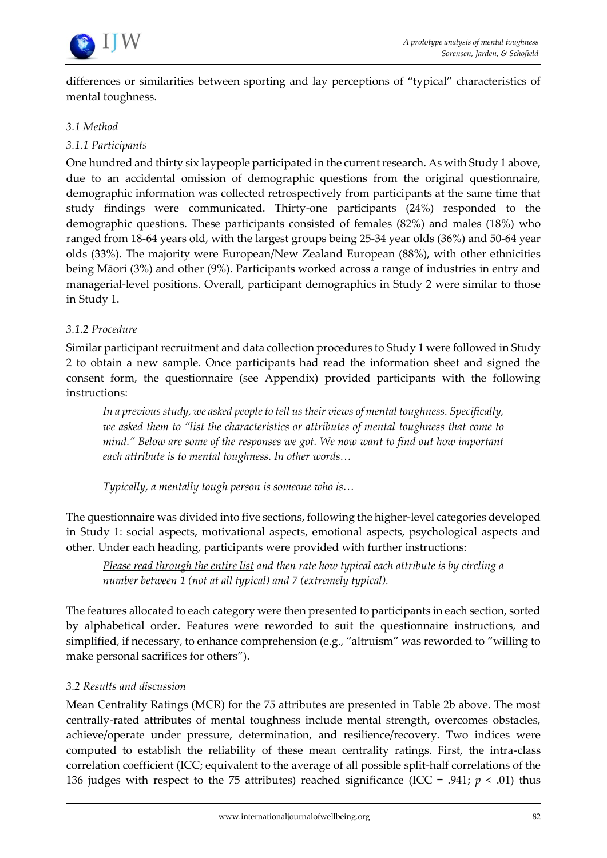

differences or similarities between sporting and lay perceptions of "typical" characteristics of mental toughness.

#### *3.1 Method*

#### *3.1.1 Participants*

One hundred and thirty six laypeople participated in the current research. As with Study 1 above, due to an accidental omission of demographic questions from the original questionnaire, demographic information was collected retrospectively from participants at the same time that study findings were communicated. Thirty-one participants (24%) responded to the demographic questions. These participants consisted of females (82%) and males (18%) who ranged from 18-64 years old, with the largest groups being 25-34 year olds (36%) and 50-64 year olds (33%). The majority were European/New Zealand European (88%), with other ethnicities being Māori (3%) and other (9%). Participants worked across a range of industries in entry and managerial-level positions. Overall, participant demographics in Study 2 were similar to those in Study 1.

#### *3.1.2 Procedure*

Similar participant recruitment and data collection procedures to Study 1 were followed in Study 2 to obtain a new sample. Once participants had read the information sheet and signed the consent form, the questionnaire (see Appendix) provided participants with the following instructions:

*In a previous study, we asked people to tell us their views of mental toughness. Specifically, we asked them to "list the characteristics or attributes of mental toughness that come to mind." Below are some of the responses we got. We now want to find out how important each attribute is to mental toughness. In other words…* 

*Typically, a mentally tough person is someone who is…*

The questionnaire was divided into five sections, following the higher-level categories developed in Study 1: social aspects, motivational aspects, emotional aspects, psychological aspects and other. Under each heading, participants were provided with further instructions:

*Please read through the entire list and then rate how typical each attribute is by circling a number between 1 (not at all typical) and 7 (extremely typical).*

The features allocated to each category were then presented to participants in each section, sorted by alphabetical order. Features were reworded to suit the questionnaire instructions, and simplified, if necessary, to enhance comprehension (e.g., "altruism" was reworded to "willing to make personal sacrifices for others").

#### *3.2 Results and discussion*

Mean Centrality Ratings (MCR) for the 75 attributes are presented in Table 2b above. The most centrally-rated attributes of mental toughness include mental strength, overcomes obstacles, achieve/operate under pressure, determination, and resilience/recovery. Two indices were computed to establish the reliability of these mean centrality ratings. First, the intra-class correlation coefficient (ICC; equivalent to the average of all possible split-half correlations of the 136 judges with respect to the 75 attributes) reached significance (ICC = .941;  $p < .01$ ) thus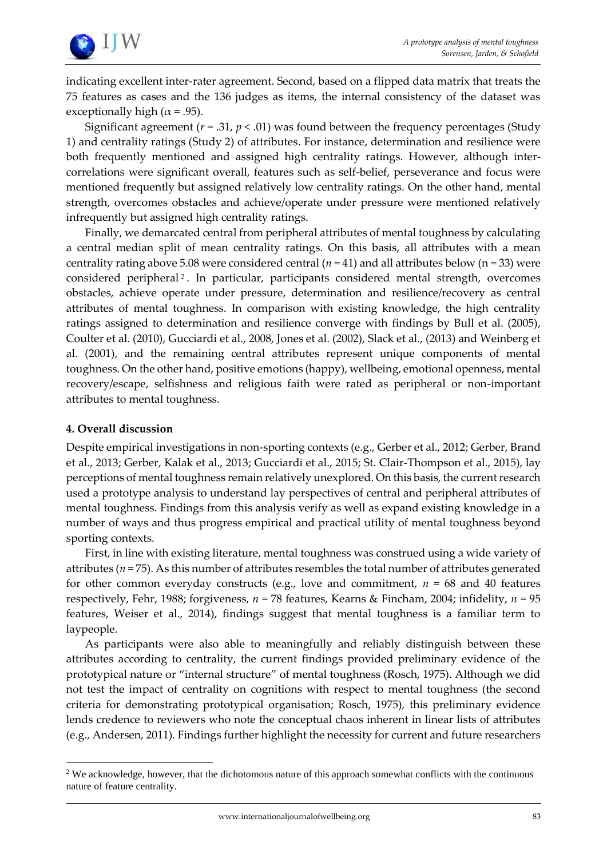

indicating excellent inter-rater agreement. Second, based on a flipped data matrix that treats the 75 features as cases and the 136 judges as items, the internal consistency of the dataset was exceptionally high ( $\alpha$  = .95).

Significant agreement (*r* = .31, *p* < .01) was found between the frequency percentages (Study 1) and centrality ratings (Study 2) of attributes. For instance, determination and resilience were both frequently mentioned and assigned high centrality ratings. However, although intercorrelations were significant overall, features such as self-belief, perseverance and focus were mentioned frequently but assigned relatively low centrality ratings. On the other hand, mental strength, overcomes obstacles and achieve/operate under pressure were mentioned relatively infrequently but assigned high centrality ratings.

Finally, we demarcated central from peripheral attributes of mental toughness by calculating a central median split of mean centrality ratings. On this basis, all attributes with a mean centrality rating above 5.08 were considered central (*n* = 41) and all attributes below (n = 33) were considered peripheral<sup>2</sup>. In particular, participants considered mental strength, overcomes obstacles, achieve operate under pressure, determination and resilience/recovery as central attributes of mental toughness. In comparison with existing knowledge, the high centrality ratings assigned to determination and resilience converge with findings by Bull et al. (2005), Coulter et al. (2010), Gucciardi et al., 2008, Jones et al. (2002), Slack et al., (2013) and Weinberg et al. (2001), and the remaining central attributes represent unique components of mental toughness. On the other hand, positive emotions (happy), wellbeing, emotional openness, mental recovery/escape, selfishness and religious faith were rated as peripheral or non-important attributes to mental toughness.

#### **4. Overall discussion**

 $\overline{a}$ 

Despite empirical investigations in non-sporting contexts (e.g., Gerber et al., 2012; Gerber, Brand et al., 2013; Gerber, Kalak et al., 2013; Gucciardi et al., 2015; St. Clair-Thompson et al., 2015), lay perceptions of mental toughness remain relatively unexplored. On this basis, the current research used a prototype analysis to understand lay perspectives of central and peripheral attributes of mental toughness. Findings from this analysis verify as well as expand existing knowledge in a number of ways and thus progress empirical and practical utility of mental toughness beyond sporting contexts.

First, in line with existing literature, mental toughness was construed using a wide variety of attributes ( $n = 75$ ). As this number of attributes resembles the total number of attributes generated for other common everyday constructs (e.g., love and commitment,  $n = 68$  and 40 features respectively, Fehr, 1988; forgiveness, *n* = 78 features, Kearns & Fincham, 2004; infidelity, *n* = 95 features, Weiser et al., 2014), findings suggest that mental toughness is a familiar term to laypeople.

As participants were also able to meaningfully and reliably distinguish between these attributes according to centrality, the current findings provided preliminary evidence of the prototypical nature or "internal structure" of mental toughness (Rosch, 1975). Although we did not test the impact of centrality on cognitions with respect to mental toughness (the second criteria for demonstrating prototypical organisation; Rosch, 1975), this preliminary evidence lends credence to reviewers who note the conceptual chaos inherent in linear lists of attributes (e.g., Andersen, 2011). Findings further highlight the necessity for current and future researchers

<sup>&</sup>lt;sup>2</sup> We acknowledge, however, that the dichotomous nature of this approach somewhat conflicts with the continuous nature of feature centrality.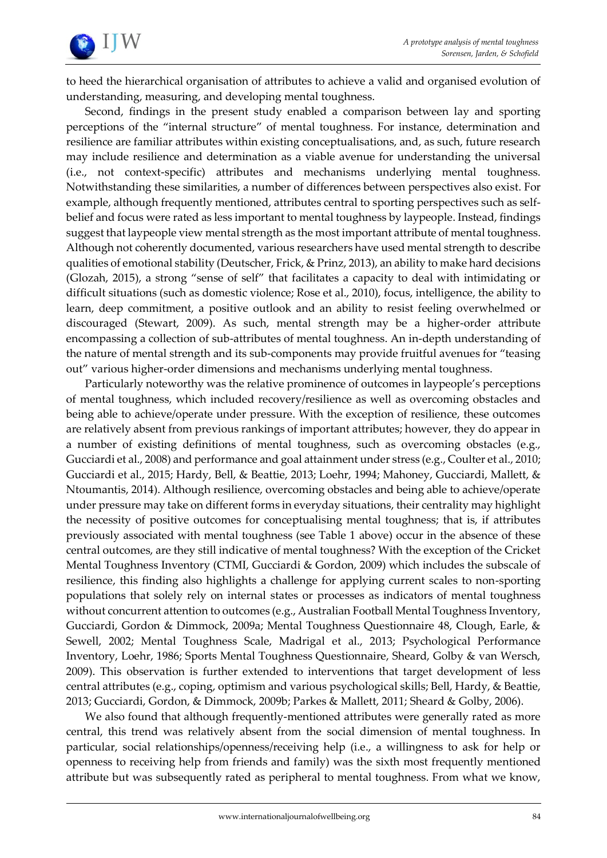

to heed the hierarchical organisation of attributes to achieve a valid and organised evolution of understanding, measuring, and developing mental toughness.

Second, findings in the present study enabled a comparison between lay and sporting perceptions of the "internal structure" of mental toughness. For instance, determination and resilience are familiar attributes within existing conceptualisations, and, as such, future research may include resilience and determination as a viable avenue for understanding the universal (i.e., not context-specific) attributes and mechanisms underlying mental toughness. Notwithstanding these similarities, a number of differences between perspectives also exist. For example, although frequently mentioned, attributes central to sporting perspectives such as selfbelief and focus were rated as less important to mental toughness by laypeople. Instead, findings suggest that laypeople view mental strength as the most important attribute of mental toughness. Although not coherently documented, various researchers have used mental strength to describe qualities of emotional stability (Deutscher, Frick, & Prinz, 2013), an ability to make hard decisions (Glozah, 2015), a strong "sense of self" that facilitates a capacity to deal with intimidating or difficult situations (such as domestic violence; Rose et al., 2010), focus, intelligence, the ability to learn, deep commitment, a positive outlook and an ability to resist feeling overwhelmed or discouraged (Stewart, 2009). As such, mental strength may be a higher-order attribute encompassing a collection of sub-attributes of mental toughness. An in-depth understanding of the nature of mental strength and its sub-components may provide fruitful avenues for "teasing out" various higher-order dimensions and mechanisms underlying mental toughness.

Particularly noteworthy was the relative prominence of outcomes in laypeople's perceptions of mental toughness, which included recovery/resilience as well as overcoming obstacles and being able to achieve/operate under pressure. With the exception of resilience, these outcomes are relatively absent from previous rankings of important attributes; however, they do appear in a number of existing definitions of mental toughness, such as overcoming obstacles (e.g., Gucciardi et al., 2008) and performance and goal attainment under stress (e.g., Coulter et al., 2010; Gucciardi et al., 2015; Hardy, Bell, & Beattie, 2013; Loehr, 1994; Mahoney, Gucciardi, Mallett, & Ntoumantis, 2014). Although resilience, overcoming obstacles and being able to achieve/operate under pressure may take on different forms in everyday situations, their centrality may highlight the necessity of positive outcomes for conceptualising mental toughness; that is, if attributes previously associated with mental toughness (see Table 1 above) occur in the absence of these central outcomes, are they still indicative of mental toughness? With the exception of the Cricket Mental Toughness Inventory (CTMI, Gucciardi & Gordon, 2009) which includes the subscale of resilience, this finding also highlights a challenge for applying current scales to non-sporting populations that solely rely on internal states or processes as indicators of mental toughness without concurrent attention to outcomes (e.g., Australian Football Mental Toughness Inventory, Gucciardi, Gordon & Dimmock, 2009a; Mental Toughness Questionnaire 48, Clough, Earle, & Sewell, 2002; Mental Toughness Scale, Madrigal et al., 2013; Psychological Performance Inventory, Loehr, 1986; Sports Mental Toughness Questionnaire, Sheard, Golby & van Wersch, 2009). This observation is further extended to interventions that target development of less central attributes (e.g., coping, optimism and various psychological skills; Bell, Hardy, & Beattie, 2013; Gucciardi, Gordon, & Dimmock, 2009b; Parkes & Mallett, 2011; Sheard & Golby, 2006).

We also found that although frequently-mentioned attributes were generally rated as more central, this trend was relatively absent from the social dimension of mental toughness. In particular, social relationships/openness/receiving help (i.e., a willingness to ask for help or openness to receiving help from friends and family) was the sixth most frequently mentioned attribute but was subsequently rated as peripheral to mental toughness. From what we know,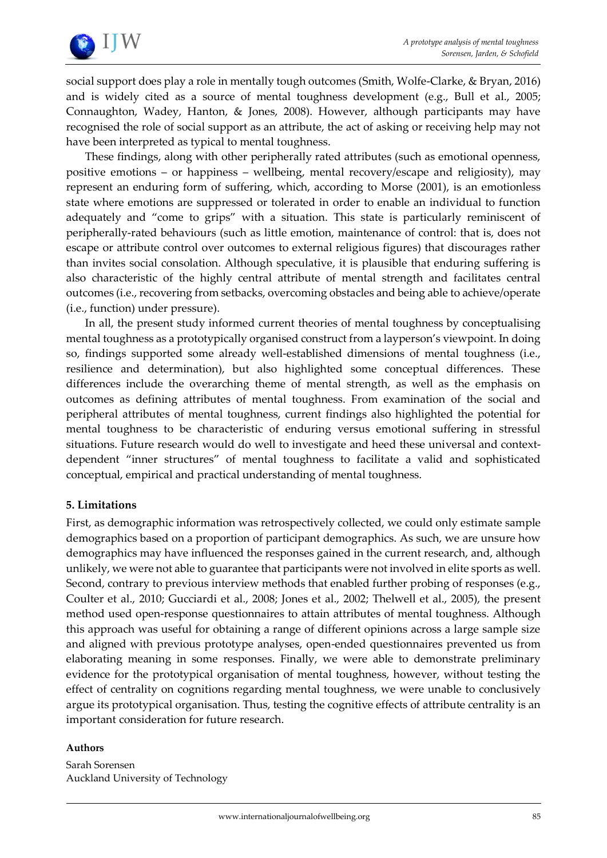

social support does play a role in mentally tough outcomes (Smith, Wolfe-Clarke, & Bryan, 2016) and is widely cited as a source of mental toughness development (e.g., Bull et al., 2005; Connaughton, Wadey, Hanton, & Jones, 2008). However, although participants may have recognised the role of social support as an attribute, the act of asking or receiving help may not have been interpreted as typical to mental toughness.

These findings, along with other peripherally rated attributes (such as emotional openness, positive emotions – or happiness – wellbeing, mental recovery/escape and religiosity), may represent an enduring form of suffering, which, according to Morse (2001), is an emotionless state where emotions are suppressed or tolerated in order to enable an individual to function adequately and "come to grips" with a situation. This state is particularly reminiscent of peripherally-rated behaviours (such as little emotion, maintenance of control: that is, does not escape or attribute control over outcomes to external religious figures) that discourages rather than invites social consolation. Although speculative, it is plausible that enduring suffering is also characteristic of the highly central attribute of mental strength and facilitates central outcomes (i.e., recovering from setbacks, overcoming obstacles and being able to achieve/operate (i.e., function) under pressure).

In all, the present study informed current theories of mental toughness by conceptualising mental toughness as a prototypically organised construct from a layperson's viewpoint. In doing so, findings supported some already well-established dimensions of mental toughness (i.e., resilience and determination), but also highlighted some conceptual differences. These differences include the overarching theme of mental strength, as well as the emphasis on outcomes as defining attributes of mental toughness. From examination of the social and peripheral attributes of mental toughness, current findings also highlighted the potential for mental toughness to be characteristic of enduring versus emotional suffering in stressful situations. Future research would do well to investigate and heed these universal and contextdependent "inner structures" of mental toughness to facilitate a valid and sophisticated conceptual, empirical and practical understanding of mental toughness.

#### **5. Limitations**

First, as demographic information was retrospectively collected, we could only estimate sample demographics based on a proportion of participant demographics. As such, we are unsure how demographics may have influenced the responses gained in the current research, and, although unlikely, we were not able to guarantee that participants were not involved in elite sports as well. Second, contrary to previous interview methods that enabled further probing of responses (e.g., Coulter et al., 2010; Gucciardi et al., 2008; Jones et al., 2002; Thelwell et al., 2005), the present method used open-response questionnaires to attain attributes of mental toughness. Although this approach was useful for obtaining a range of different opinions across a large sample size and aligned with previous prototype analyses, open-ended questionnaires prevented us from elaborating meaning in some responses. Finally, we were able to demonstrate preliminary evidence for the prototypical organisation of mental toughness, however, without testing the effect of centrality on cognitions regarding mental toughness, we were unable to conclusively argue its prototypical organisation. Thus, testing the cognitive effects of attribute centrality is an important consideration for future research.

#### **Authors**

Sarah Sorensen Auckland University of Technology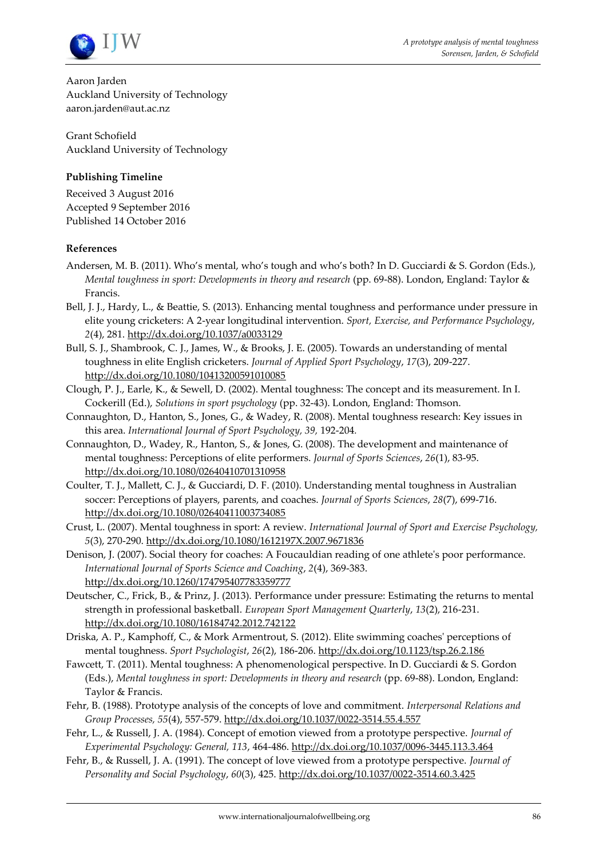

Aaron Jarden Auckland University of Technology [aaron.jarden@aut.ac.nz](mailto:aaron.jarden@aut.ac.nz)

Grant Schofield Auckland University of Technology

#### **Publishing Timeline**

Received 3 August 2016 Accepted 9 September 2016 Published 14 October 2016

#### **References**

- Andersen, M. B. (2011). Who's mental, who's tough and who's both? In D. Gucciardi & S. Gordon (Eds.), *Mental toughness in sport: Developments in theory and research* (pp. 69-88). London, England: Taylor & Francis.
- Bell, J. J., Hardy, L., & Beattie, S. (2013). Enhancing mental toughness and performance under pressure in elite young cricketers: A 2-year longitudinal intervention. *Sport, Exercise, and Performance Psychology*, *2*(4), 281. <http://dx.doi.org/10.1037/a0033129>
- Bull, S. J., Shambrook, C. J., James, W., & Brooks, J. E. (2005). Towards an understanding of mental toughness in elite English cricketers. *Journal of Applied Sport Psychology*, *17*(3), 209-227. <http://dx.doi.org/10.1080/10413200591010085>
- Clough, P. J., Earle, K., & Sewell, D. (2002). Mental toughness: The concept and its measurement. In I. Cockerill (Ed.), *Solutions in sport psychology* (pp. 32-43). London, England: Thomson.
- Connaughton, D., Hanton, S., Jones, G., & Wadey, R. (2008). Mental toughness research: Key issues in this area. *International Journal of Sport Psychology, 39,* 192-204*.*
- Connaughton, D., Wadey, R., Hanton, S., & Jones, G. (2008). The development and maintenance of mental toughness: Perceptions of elite performers. *Journal of Sports Sciences*, *26*(1), 83-95. <http://dx.doi.org/10.1080/02640410701310958>
- Coulter, T. J., Mallett, C. J., & Gucciardi, D. F. (2010). Understanding mental toughness in Australian soccer: Perceptions of players, parents, and coaches. *Journal of Sports Sciences*, *28*(7), 699-716. <http://dx.doi.org/10.1080/02640411003734085>
- Crust, L. (2007). Mental toughness in sport: A review. *International Journal of Sport and Exercise Psychology, 5*(3), 270-290.<http://dx.doi.org/10.1080/1612197X.2007.9671836>
- Denison, J. (2007). Social theory for coaches: A Foucauldian reading of one athlete's poor performance. *International Journal of Sports Science and Coaching*, *2*(4), 369-383. <http://dx.doi.org/10.1260/174795407783359777>
- Deutscher, C., Frick, B., & Prinz, J. (2013). Performance under pressure: Estimating the returns to mental strength in professional basketball. *European Sport Management Quarterly*, *13*(2), 216-231. <http://dx.doi.org/10.1080/16184742.2012.742122>
- Driska, A. P., Kamphoff, C., & Mork Armentrout, S. (2012). Elite swimming coaches' perceptions of mental toughness. *Sport Psychologist*, *26*(2), 186-206. <http://dx.doi.org/10.1123/tsp.26.2.186>
- Fawcett, T. (2011). Mental toughness: A phenomenological perspective. In D. Gucciardi & S. Gordon (Eds.), *Mental toughness in sport: Developments in theory and research* (pp. 69-88). London, England: Taylor & Francis.
- Fehr, B. (1988). Prototype analysis of the concepts of love and commitment. *Interpersonal Relations and Group Processes, 55*(4), 557-579. <http://dx.doi.org/10.1037/0022-3514.55.4.557>
- Fehr, L., & Russell, J. A. (1984). Concept of emotion viewed from a prototype perspective. *Journal of Experimental Psychology: General, 113*, 464-486. <http://dx.doi.org/10.1037/0096-3445.113.3.464>
- Fehr, B., & Russell, J. A. (1991). The concept of love viewed from a prototype perspective. *Journal of Personality and Social Psychology*, *60*(3), 425. <http://dx.doi.org/10.1037/0022-3514.60.3.425>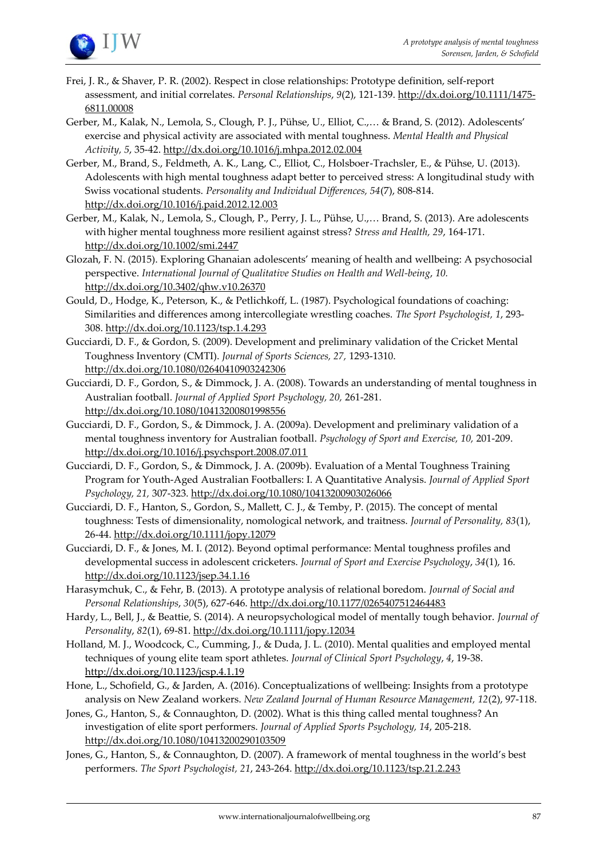

- Frei, J. R., & Shaver, P. R. (2002). Respect in close relationships: Prototype definition, self-report assessment, and initial correlates. *Personal Relationships*, *9*(2), 121-139. [http://dx.doi.org/10.1111/1475-](http://dx.doi.org/10.1111/1475-6811.00008) [6811.00008](http://dx.doi.org/10.1111/1475-6811.00008)
- Gerber, M., Kalak, N., Lemola, S., Clough, P. J., Pühse, U., Elliot, C.,… & Brand, S. (2012). Adolescents' exercise and physical activity are associated with mental toughness. *Mental Health and Physical Activity, 5*, 35-42. <http://dx.doi.org/10.1016/j.mhpa.2012.02.004>
- Gerber, M., Brand, S., Feldmeth, A. K., Lang, C., Elliot, C., Holsboer-Trachsler, E., & Pühse, U. (2013). Adolescents with high mental toughness adapt better to perceived stress: A longitudinal study with Swiss vocational students. *Personality and Individual Differences, 54*(7), 808-814. <http://dx.doi.org/10.1016/j.paid.2012.12.003>
- Gerber, M., Kalak, N., Lemola, S., Clough, P., Perry, J. L., Pühse, U.,… Brand, S. (2013). Are adolescents with higher mental toughness more resilient against stress? *Stress and Health, 29*, 164-171. <http://dx.doi.org/10.1002/smi.2447>
- Glozah, F. N. (2015). Exploring Ghanaian adolescents' meaning of health and wellbeing: A psychosocial perspective. *International Journal of Qualitative Studies on Health and Well-being*, *10.*  <http://dx.doi.org/10.3402/qhw.v10.26370>
- Gould, D., Hodge, K., Peterson, K., & Petlichkoff, L. (1987). Psychological foundations of coaching: Similarities and differences among intercollegiate wrestling coaches. *The Sport Psychologist, 1*, 293- 308. <http://dx.doi.org/10.1123/tsp.1.4.293>
- Gucciardi, D. F., & Gordon, S. (2009). Development and preliminary validation of the Cricket Mental Toughness Inventory (CMTI). *Journal of Sports Sciences, 27,* 1293-1310. <http://dx.doi.org/10.1080/02640410903242306>
- Gucciardi, D. F., Gordon, S., & Dimmock, J. A. (2008). Towards an understanding of mental toughness in Australian football. *Journal of Applied Sport Psychology, 20,* 261-281. <http://dx.doi.org/10.1080/10413200801998556>
- Gucciardi, D. F., Gordon, S., & Dimmock, J. A. (2009a). Development and preliminary validation of a mental toughness inventory for Australian football. *Psychology of Sport and Exercise, 10,* 201-209. <http://dx.doi.org/10.1016/j.psychsport.2008.07.011>
- Gucciardi, D. F., Gordon, S., & Dimmock, J. A. (2009b). Evaluation of a Mental Toughness Training Program for Youth-Aged Australian Footballers: I. A Quantitative Analysis. *Journal of Applied Sport Psychology, 21,* 307-323. <http://dx.doi.org/10.1080/10413200903026066>
- Gucciardi, D. F., Hanton, S., Gordon, S., Mallett, C. J., & Temby, P. (2015). The concept of mental toughness: Tests of dimensionality, nomological network, and traitness. *Journal of Personality, 83*(1), 26-44. <http://dx.doi.org/10.1111/jopy.12079>
- Gucciardi, D. F., & Jones, M. I. (2012). Beyond optimal performance: Mental toughness profiles and developmental success in adolescent cricketers. *Journal of Sport and Exercise Psychology*, *34*(1), 16. <http://dx.doi.org/10.1123/jsep.34.1.16>
- Harasymchuk, C., & Fehr, B. (2013). A prototype analysis of relational boredom. *Journal of Social and Personal Relationships*, *30*(5), 627-646. <http://dx.doi.org/10.1177/0265407512464483>
- Hardy, L., Bell, J., & Beattie, S. (2014). A neuropsychological model of mentally tough behavior. *Journal of Personality*, *82*(1), 69-81. <http://dx.doi.org/10.1111/jopy.12034>
- Holland, M. J., Woodcock, C., Cumming, J., & Duda, J. L. (2010). Mental qualities and employed mental techniques of young elite team sport athletes. *Journal of Clinical Sport Psychology*, *4*, 19-38. <http://dx.doi.org/10.1123/jcsp.4.1.19>
- Hone, L., Schofield, G., & Jarden, A. (2016). Conceptualizations of wellbeing: Insights from a prototype analysis on New Zealand workers. *New Zealand Journal of Human Resource Management, 12*(2), 97-118.
- Jones, G., Hanton, S., & Connaughton, D. (2002). What is this thing called mental toughness? An investigation of elite sport performers. *Journal of Applied Sports Psychology, 14*, 205-218. <http://dx.doi.org/10.1080/10413200290103509>
- Jones, G., Hanton, S., & Connaughton, D. (2007). A framework of mental toughness in the world's best performers. *The Sport Psychologist, 21*, 243-264. <http://dx.doi.org/10.1123/tsp.21.2.243>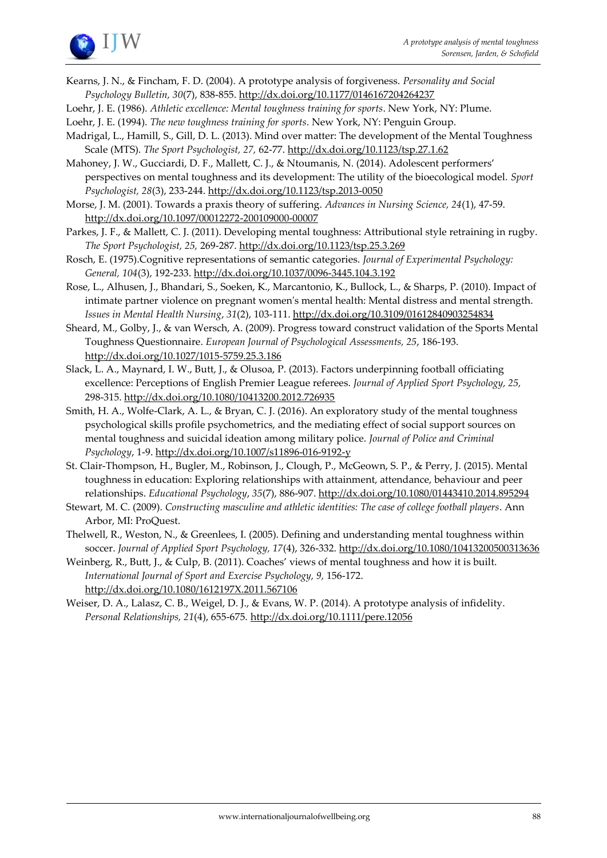

- Kearns, J. N., & Fincham, F. D. (2004). A prototype analysis of forgiveness. *Personality and Social Psychology Bulletin, 30*(7), 838-855. <http://dx.doi.org/10.1177/0146167204264237>
- Loehr, J. E. (1986). *Athletic excellence: Mental toughness training for sports*. New York, NY: Plume.
- Loehr, J. E. (1994). *The new toughness training for sports*. New York, NY: Penguin Group.
- Madrigal, L., Hamill, S., Gill, D. L. (2013). Mind over matter: The development of the Mental Toughness Scale (MTS). *The Sport Psychologist, 27,* 62-77. <http://dx.doi.org/10.1123/tsp.27.1.62>

Mahoney, J. W., Gucciardi, D. F., Mallett, C. J., & Ntoumanis, N. (2014). Adolescent performers' perspectives on mental toughness and its development: The utility of the bioecological model. *Sport Psychologist, 28*(3), 233-244. <http://dx.doi.org/10.1123/tsp.2013-0050>

Morse, J. M. (2001). Towards a praxis theory of suffering. *Advances in Nursing Science, 24*(1), 47-59. <http://dx.doi.org/10.1097/00012272-200109000-00007>

Parkes, J. F., & Mallett, C. J. (2011). Developing mental toughness: Attributional style retraining in rugby. *The Sport Psychologist, 25,* 269-287. <http://dx.doi.org/10.1123/tsp.25.3.269>

Rosch, E. (1975).Cognitive representations of semantic categories. *Journal of Experimental Psychology: General, 104*(3), 192-233. <http://dx.doi.org/10.1037/0096-3445.104.3.192>

Rose, L., Alhusen, J., Bhandari, S., Soeken, K., Marcantonio, K., Bullock, L., & Sharps, P. (2010). Impact of intimate partner violence on pregnant women's mental health: Mental distress and mental strength. *Issues in Mental Health Nursing*, *31*(2), 103-111. <http://dx.doi.org/10.3109/01612840903254834>

Sheard, M., Golby, J., & van Wersch, A. (2009). Progress toward construct validation of the Sports Mental Toughness Questionnaire. *European Journal of Psychological Assessments, 25*, 186-193. <http://dx.doi.org/10.1027/1015-5759.25.3.186>

Slack, L. A., Maynard, I. W., Butt, J., & Olusoa, P. (2013). Factors underpinning football officiating excellence: Perceptions of English Premier League referees. *Journal of Applied Sport Psychology, 25,*  298-315. <http://dx.doi.org/10.1080/10413200.2012.726935>

Smith, H. A., Wolfe-Clark, A. L., & Bryan, C. J. (2016). An exploratory study of the mental toughness psychological skills profile psychometrics, and the mediating effect of social support sources on mental toughness and suicidal ideation among military police. *Journal of Police and Criminal Psychology*, 1-9. <http://dx.doi.org/10.1007/s11896-016-9192-y>

St. Clair-Thompson, H., Bugler, M., Robinson, J., Clough, P., McGeown, S. P., & Perry, J. (2015). Mental toughness in education: Exploring relationships with attainment, attendance, behaviour and peer relationships. *Educational Psychology*, *35*(7), 886-907. <http://dx.doi.org/10.1080/01443410.2014.895294>

Stewart, M. C. (2009). *Constructing masculine and athletic identities: The case of college football players*. Ann Arbor, MI: ProQuest.

Thelwell, R., Weston, N., & Greenlees, I. (2005). Defining and understanding mental toughness within soccer. *Journal of Applied Sport Psychology, 17*(4), 326-332. <http://dx.doi.org/10.1080/10413200500313636>

Weinberg, R., Butt, J., & Culp, B. (2011). Coaches' views of mental toughness and how it is built. *International Journal of Sport and Exercise Psychology, 9,* 156-172. <http://dx.doi.org/10.1080/1612197X.2011.567106>

Weiser, D. A., Lalasz, C. B., Weigel, D. J., & Evans, W. P. (2014). A prototype analysis of infidelity. *Personal Relationships, 21*(4), 655-675. <http://dx.doi.org/10.1111/pere.12056>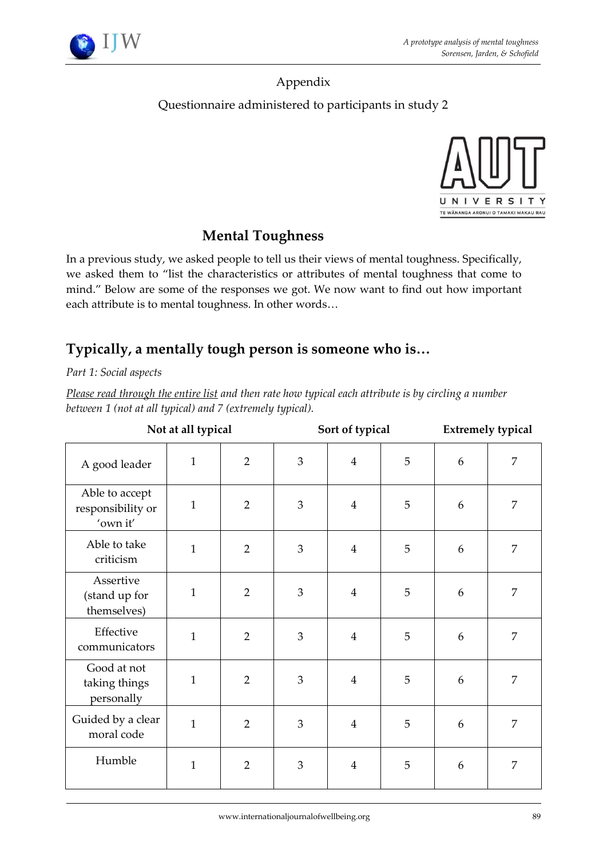

## Appendix Questionnaire administered to participants in study 2



## **Mental Toughness**

In a previous study, we asked people to tell us their views of mental toughness. Specifically, we asked them to "list the characteristics or attributes of mental toughness that come to mind." Below are some of the responses we got. We now want to find out how important each attribute is to mental toughness. In other words…

## **Typically, a mentally tough person is someone who is…**

#### *Part 1: Social aspects*

|                                                 | Not at all typical |                |                | Sort of typical | <b>Extremely typical</b> |   |                |
|-------------------------------------------------|--------------------|----------------|----------------|-----------------|--------------------------|---|----------------|
| A good leader                                   | $\mathbf 1$        | $\overline{2}$ | 3              | $\overline{4}$  | 5                        | 6 | 7              |
| Able to accept<br>responsibility or<br>'own it' | $\mathbf{1}$       | $\overline{2}$ | $\overline{3}$ | $\overline{4}$  | 5                        | 6 | $\overline{7}$ |
| Able to take<br>criticism                       | $\mathbf 1$        | $\overline{2}$ | 3              | $\overline{4}$  | 5                        | 6 | $\overline{7}$ |
| Assertive<br>(stand up for<br>themselves)       | $\mathbf 1$        | $\overline{2}$ | $\overline{3}$ | $\overline{4}$  | 5                        | 6 | $\overline{7}$ |
| Effective<br>communicators                      | $\mathbf 1$        | $\overline{2}$ | 3              | $\overline{4}$  | 5                        | 6 | $\overline{7}$ |
| Good at not<br>taking things<br>personally      | $\mathbf{1}$       | $\overline{2}$ | 3              | $\overline{4}$  | 5                        | 6 | $\overline{7}$ |
| Guided by a clear<br>moral code                 | $\mathbf{1}$       | $\overline{2}$ | 3              | $\overline{4}$  | 5                        | 6 | $\overline{7}$ |
| Humble                                          | $\mathbf{1}$       | $\overline{2}$ | 3              | $\overline{4}$  | 5                        | 6 | $\overline{7}$ |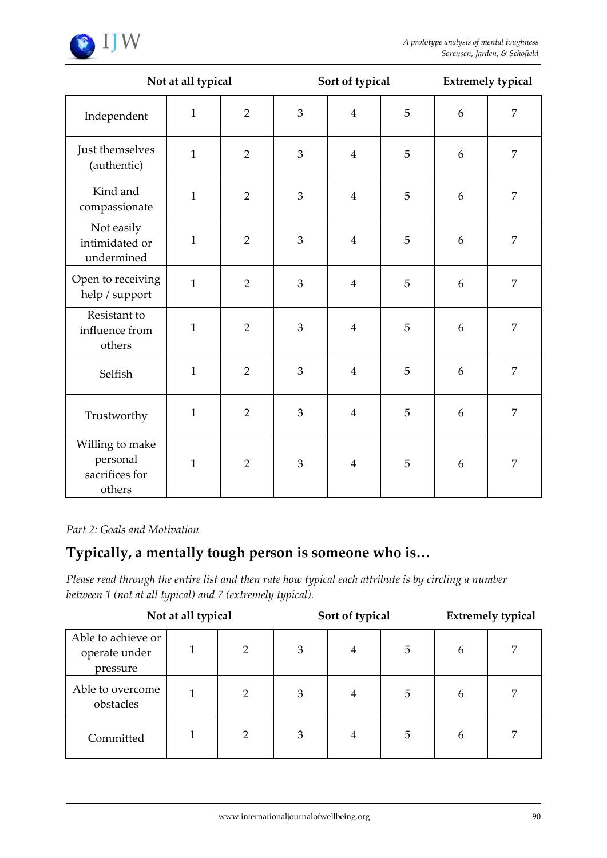

|                                                         | Not at all typical |                |   | Sort of typical |   |   | <b>Extremely typical</b> |
|---------------------------------------------------------|--------------------|----------------|---|-----------------|---|---|--------------------------|
| Independent                                             | $\mathbf{1}$       | $\overline{2}$ | 3 | $\overline{4}$  | 5 | 6 | $\overline{7}$           |
| Just themselves<br>(authentic)                          | $\mathbf{1}$       | $\overline{2}$ | 3 | $\overline{4}$  | 5 | 6 | 7                        |
| Kind and<br>compassionate                               | $\mathbf 1$        | $\overline{2}$ | 3 | $\overline{4}$  | 5 | 6 | 7                        |
| Not easily<br>intimidated or<br>undermined              | $\mathbf{1}$       | $\overline{2}$ | 3 | $\overline{4}$  | 5 | 6 | 7                        |
| Open to receiving<br>help / support                     | $\mathbf{1}$       | $\overline{2}$ | 3 | $\overline{4}$  | 5 | 6 | 7                        |
| Resistant to<br>influence from<br>others                | $\mathbf{1}$       | $\overline{2}$ | 3 | $\overline{4}$  | 5 | 6 | $\overline{7}$           |
| Selfish                                                 | $\mathbf{1}$       | $\overline{2}$ | 3 | $\overline{4}$  | 5 | 6 | 7                        |
| Trustworthy                                             | $\mathbf{1}$       | $\overline{2}$ | 3 | $\overline{4}$  | 5 | 6 | 7                        |
| Willing to make<br>personal<br>sacrifices for<br>others | 1                  | $\overline{2}$ | 3 | $\overline{4}$  | 5 | 6 | 7                        |

*Part 2: Goals and Motivation*

### **Typically, a mentally tough person is someone who is…**

|                                                 | Not at all typical |                |   | Sort of typical | <b>Extremely typical</b> |   |   |
|-------------------------------------------------|--------------------|----------------|---|-----------------|--------------------------|---|---|
| Able to achieve or<br>operate under<br>pressure |                    | $\overline{2}$ | 3 | 4               | 5                        | 6 | 7 |
| Able to overcome<br>obstacles                   |                    | 2              | 3 | 4               | 5                        | 6 | 7 |
| Committed                                       |                    | 2              | 3 | 4               | 5                        | 6 | 7 |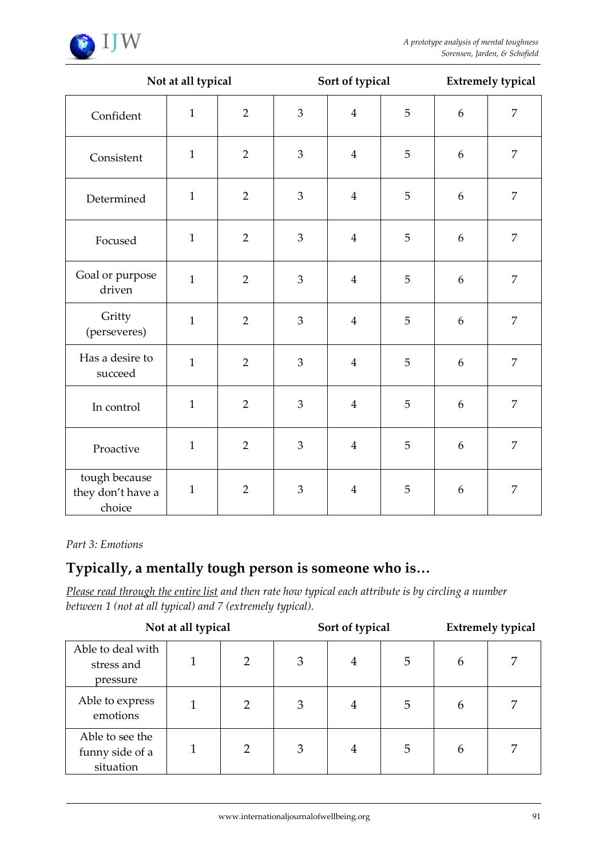

|                                              | Not at all typical |                |                | Sort of typical | <b>Extremely typical</b> |   |                |
|----------------------------------------------|--------------------|----------------|----------------|-----------------|--------------------------|---|----------------|
| Confident                                    | $\mathbf{1}$       | $\overline{2}$ | 3              | $\overline{4}$  | 5                        | 6 | $\overline{7}$ |
| Consistent                                   | $\mathbf{1}$       | $\overline{2}$ | 3              | $\overline{4}$  | 5                        | 6 | $\overline{7}$ |
| Determined                                   | $\mathbf{1}$       | $\overline{2}$ | $\overline{3}$ | $\overline{4}$  | 5                        | 6 | $\overline{7}$ |
| Focused                                      | $\mathbf{1}$       | $\overline{2}$ | 3              | $\overline{4}$  | 5                        | 6 | $\overline{7}$ |
| Goal or purpose<br>driven                    | $\mathbf{1}$       | $\overline{2}$ | $\mathfrak{Z}$ | $\overline{4}$  | 5                        | 6 | $\overline{7}$ |
| Gritty<br>(perseveres)                       | $\mathbf{1}$       | $\overline{2}$ | 3              | $\overline{4}$  | 5                        | 6 | $\overline{7}$ |
| Has a desire to<br>succeed                   | $\mathbf{1}$       | $\overline{2}$ | $\mathfrak{Z}$ | $\overline{4}$  | 5                        | 6 | $\overline{7}$ |
| In control                                   | $\mathbf{1}$       | $\overline{2}$ | 3              | $\overline{4}$  | 5                        | 6 | $\overline{7}$ |
| Proactive                                    | $\mathbf{1}$       | $\overline{2}$ | 3              | $\overline{4}$  | 5                        | 6 | $\overline{7}$ |
| tough because<br>they don't have a<br>choice | $\mathbf{1}$       | $\overline{2}$ | 3              | $\overline{4}$  | 5                        | 6 | 7              |

*Part 3: Emotions*

## **Typically, a mentally tough person is someone who is…**

|                                                 | Not at all typical |   |   | Sort of typical | <b>Extremely typical</b> |   |   |
|-------------------------------------------------|--------------------|---|---|-----------------|--------------------------|---|---|
| Able to deal with<br>stress and<br>pressure     |                    | 2 | 3 | 4               | 5                        | 6 | 7 |
| Able to express<br>emotions                     |                    | 2 | 3 | 4               | 5                        | 6 |   |
| Able to see the<br>funny side of a<br>situation |                    | 2 | 3 | 4               | 5                        | 6 | 7 |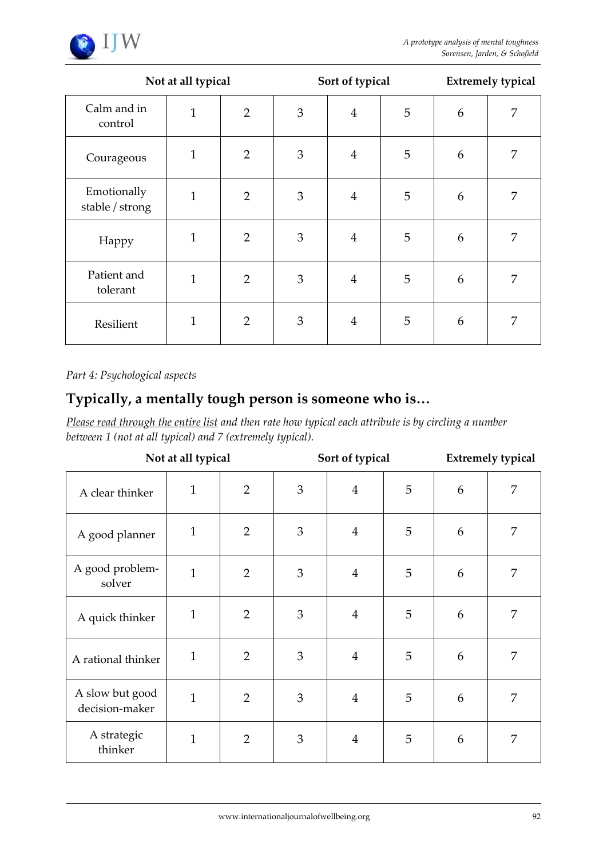| Not at all typical             |                |                |                | Sort of typical | <b>Extremely typical</b> |   |   |
|--------------------------------|----------------|----------------|----------------|-----------------|--------------------------|---|---|
| Calm and in<br>control         | $\mathbf{1}$   | $\overline{2}$ | 3              | $\overline{4}$  | 5                        | 6 | 7 |
| Courageous                     | $\mathbf{1}$   | $\overline{2}$ | $\mathfrak{Z}$ | $\overline{4}$  | 5                        | 6 | 7 |
| Emotionally<br>stable / strong | $\overline{1}$ | $\overline{2}$ | 3              | $\overline{4}$  | 5                        | 6 | 7 |
| Happy                          | $\mathbf{1}$   | $\overline{2}$ | 3              | $\overline{4}$  | 5                        | 6 | 7 |
| Patient and<br>tolerant        | $\mathbf{1}$   | $\overline{2}$ | $\mathfrak{Z}$ | $\overline{4}$  | 5                        | 6 | 7 |
| Resilient                      | $\mathbf{1}$   | $\overline{2}$ | 3              | $\overline{4}$  | 5                        | 6 | 7 |

*Part 4: Psychological aspects*

## **Typically, a mentally tough person is someone who is…**

| Not at all typical                |                |                | Sort of typical |                |   | <b>Extremely typical</b> |   |
|-----------------------------------|----------------|----------------|-----------------|----------------|---|--------------------------|---|
| A clear thinker                   | 1              | $\overline{2}$ | 3               | $\overline{4}$ | 5 | 6                        | 7 |
| A good planner                    | $\mathbf 1$    | $\overline{2}$ | 3               | $\overline{4}$ | 5 | 6                        | 7 |
| A good problem-<br>solver         | $\mathbf{1}$   | $\overline{2}$ | 3               | $\overline{4}$ | 5 | 6                        | 7 |
| A quick thinker                   | $\mathbf 1$    | $\overline{2}$ | 3               | $\overline{4}$ | 5 | 6                        | 7 |
| A rational thinker                | $\mathbf 1$    | $\overline{2}$ | 3               | $\overline{4}$ | 5 | 6                        | 7 |
| A slow but good<br>decision-maker | $\mathbf{1}$   | $\overline{2}$ | 3               | $\overline{4}$ | 5 | 6                        | 7 |
| A strategic<br>thinker            | $\overline{1}$ | $\overline{2}$ | 3               | $\overline{4}$ | 5 | 6                        | 7 |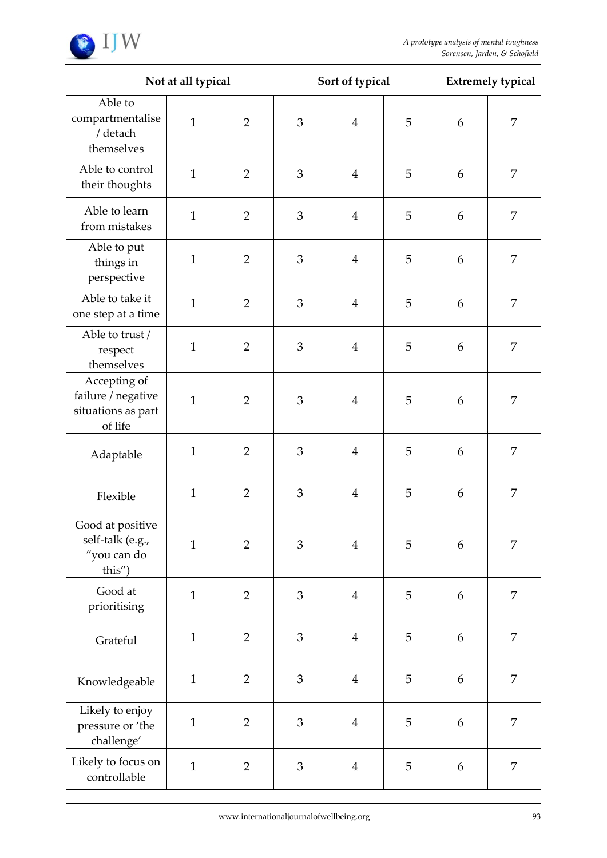

|                                                                     | Not at all typical |                |   | Sort of typical | <b>Extremely typical</b> |   |                |
|---------------------------------------------------------------------|--------------------|----------------|---|-----------------|--------------------------|---|----------------|
| Able to<br>compartmentalise<br>/ detach<br>themselves               | $\mathbf{1}$       | $\overline{2}$ | 3 | $\overline{4}$  | 5                        | 6 | 7              |
| Able to control<br>their thoughts                                   | $\mathbf{1}$       | $\overline{2}$ | 3 | $\overline{4}$  | 5                        | 6 | 7              |
| Able to learn<br>from mistakes                                      | $\mathbf{1}$       | $\overline{2}$ | 3 | $\overline{4}$  | 5                        | 6 | 7              |
| Able to put<br>things in<br>perspective                             | $\mathbf{1}$       | $\overline{2}$ | 3 | $\overline{4}$  | 5                        | 6 | 7              |
| Able to take it<br>one step at a time                               | $\mathbf{1}$       | $\overline{2}$ | 3 | $\overline{4}$  | 5                        | 6 | $\overline{7}$ |
| Able to trust /<br>respect<br>themselves                            | $\mathbf{1}$       | $\overline{2}$ | 3 | $\overline{4}$  | 5                        | 6 | $\overline{7}$ |
| Accepting of<br>failure / negative<br>situations as part<br>of life | $\mathbf{1}$       | $\overline{2}$ | 3 | $\overline{4}$  | 5                        | 6 | 7              |
| Adaptable                                                           | $\mathbf{1}$       | $\overline{2}$ | 3 | $\overline{4}$  | 5                        | 6 | $\overline{7}$ |
| Flexible                                                            | $\mathbf{1}$       | $\overline{2}$ | 3 | $\overline{4}$  | 5                        | 6 | $\overline{7}$ |
| Good at positive<br>self-talk (e.g.,<br>"you can do<br>this")       | $\mathbf{1}$       | $\overline{2}$ | 3 | $\overline{4}$  | 5                        | 6 | $\overline{7}$ |
| Good at<br>prioritising                                             | $\mathbf{1}$       | $\overline{2}$ | 3 | $\overline{4}$  | 5                        | 6 | $\overline{7}$ |
| Grateful                                                            | $\mathbf{1}$       | $\overline{2}$ | 3 | $\overline{4}$  | 5                        | 6 | $\overline{7}$ |
| Knowledgeable                                                       | $\mathbf{1}$       | $\overline{2}$ | 3 | $\overline{4}$  | 5                        | 6 | $\overline{7}$ |
| Likely to enjoy<br>pressure or 'the<br>challenge'                   | $\mathbf{1}$       | $\overline{2}$ | 3 | $\overline{4}$  | 5                        | 6 | $\overline{7}$ |
| Likely to focus on<br>controllable                                  | $\mathbf{1}$       | $\overline{2}$ | 3 | $\overline{4}$  | 5                        | 6 | $\overline{7}$ |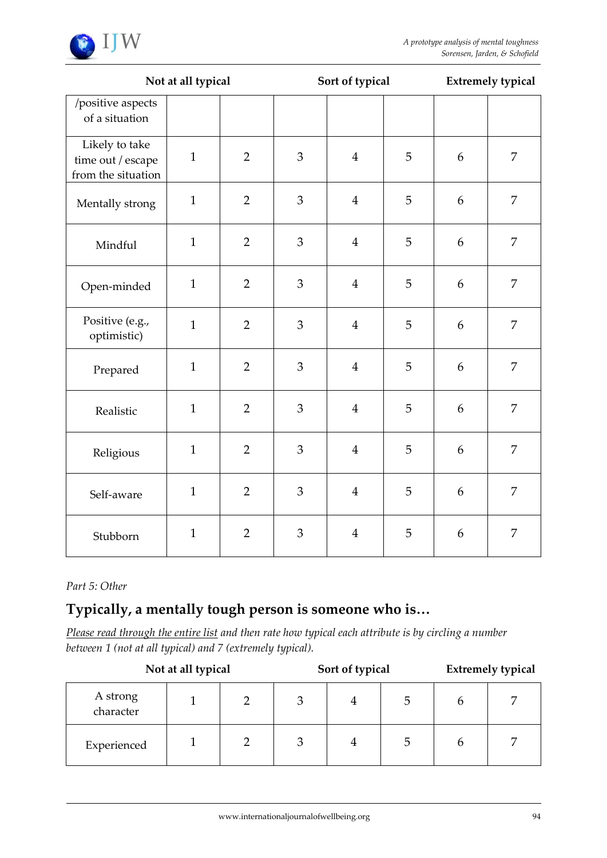

| Not at all typical                                        |              |                | Sort of typical |                |   | <b>Extremely typical</b> |                |
|-----------------------------------------------------------|--------------|----------------|-----------------|----------------|---|--------------------------|----------------|
| /positive aspects<br>of a situation                       |              |                |                 |                |   |                          |                |
| Likely to take<br>time out / escape<br>from the situation | $\mathbf{1}$ | $\overline{2}$ | 3               | $\overline{4}$ | 5 | 6                        | $\overline{7}$ |
| Mentally strong                                           | $\mathbf{1}$ | $\overline{2}$ | 3               | $\overline{4}$ | 5 | 6                        | $\overline{7}$ |
| Mindful                                                   | $\mathbf{1}$ | $\overline{2}$ | 3               | $\overline{4}$ | 5 | 6                        | $\overline{7}$ |
| Open-minded                                               | $\mathbf{1}$ | $\overline{2}$ | 3               | $\overline{4}$ | 5 | 6                        | $\overline{7}$ |
| Positive (e.g.,<br>optimistic)                            | $\mathbf{1}$ | $\overline{2}$ | 3               | $\overline{4}$ | 5 | 6                        | $\overline{7}$ |
| Prepared                                                  | $\mathbf{1}$ | $\overline{2}$ | 3               | $\overline{4}$ | 5 | 6                        | $\overline{7}$ |
| Realistic                                                 | $\mathbf{1}$ | $\overline{2}$ | 3               | $\overline{4}$ | 5 | 6                        | $\overline{7}$ |
| Religious                                                 | $\mathbf{1}$ | $\overline{2}$ | 3               | $\overline{4}$ | 5 | 6                        | $\overline{7}$ |
| Self-aware                                                | $\mathbf{1}$ | $\overline{2}$ | 3               | $\overline{4}$ | 5 | 6                        | $\overline{7}$ |
| Stubborn                                                  | $\mathbf{1}$ | $\overline{2}$ | 3               | $\overline{4}$ | 5 | 6                        | $\overline{7}$ |

*Part 5: Other*

## **Typically, a mentally tough person is someone who is…**

| Not at all typical    |  |  |   | Sort of typical | <b>Extremely typical</b> |  |  |
|-----------------------|--|--|---|-----------------|--------------------------|--|--|
| A strong<br>character |  |  |   |                 | ა                        |  |  |
| Experienced           |  |  | З |                 | 5                        |  |  |